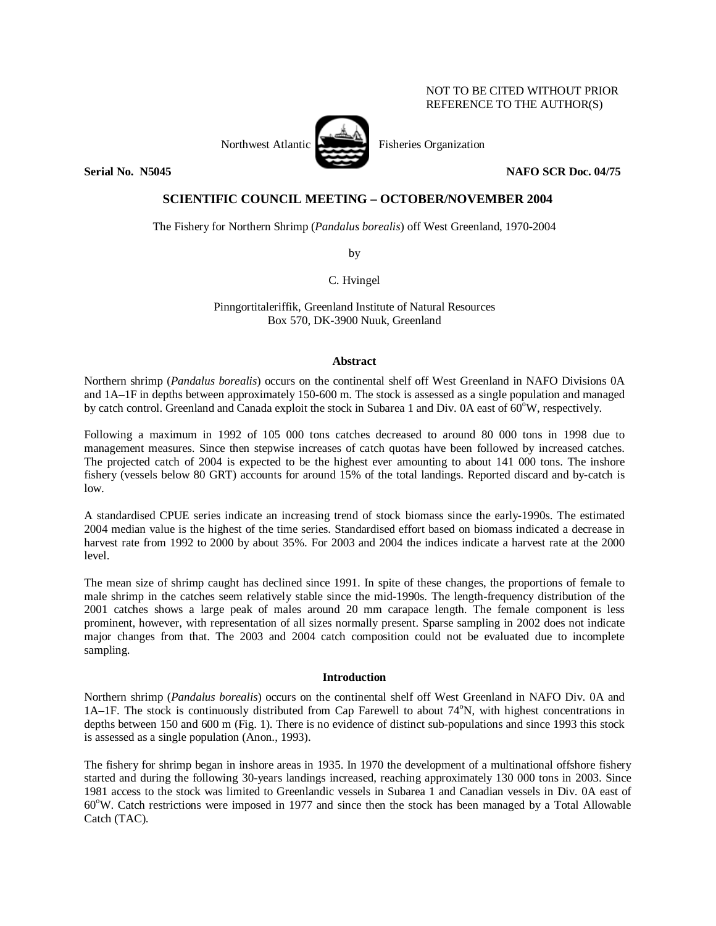# NOT TO BE CITED WITHOUT PRIOR REFERENCE TO THE AUTHOR(S)

Northwest Atlantic Fisheries Organization



**Serial No. 35045 NAFO SCR Doc. 04/75 NAFO SCR Doc. 04/75** 

# **SCIENTIFIC COUNCIL MEETING – OCTOBER/NOVEMBER 2004**

The Fishery for Northern Shrimp (*Pandalus borealis*) off West Greenland, 1970-2004

by

C. Hvingel

Pinngortitaleriffik, Greenland Institute of Natural Resources Box 570, DK-3900 Nuuk, Greenland

### **Abstract**

Northern shrimp (*Pandalus borealis*) occurs on the continental shelf off West Greenland in NAFO Divisions 0A and 1A–1F in depths between approximately 150-600 m. The stock is assessed as a single population and managed by catch control. Greenland and Canada exploit the stock in Subarea 1 and Div. 0A east of 60<sup>o</sup>W, respectively.

Following a maximum in 1992 of 105 000 tons catches decreased to around 80 000 tons in 1998 due to management measures. Since then stepwise increases of catch quotas have been followed by increased catches. The projected catch of 2004 is expected to be the highest ever amounting to about 141 000 tons. The inshore fishery (vessels below 80 GRT) accounts for around 15% of the total landings. Reported discard and by-catch is low.

A standardised CPUE series indicate an increasing trend of stock biomass since the early-1990s. The estimated 2004 median value is the highest of the time series. Standardised effort based on biomass indicated a decrease in harvest rate from 1992 to 2000 by about 35%. For 2003 and 2004 the indices indicate a harvest rate at the 2000 level.

The mean size of shrimp caught has declined since 1991. In spite of these changes, the proportions of female to male shrimp in the catches seem relatively stable since the mid-1990s. The length-frequency distribution of the 2001 catches shows a large peak of males around 20 mm carapace length. The female component is less prominent, however, with representation of all sizes normally present. Sparse sampling in 2002 does not indicate major changes from that. The 2003 and 2004 catch composition could not be evaluated due to incomplete sampling.

# **Introduction**

Northern shrimp (*Pandalus borealis*) occurs on the continental shelf off West Greenland in NAFO Div. 0A and 1A-1F. The stock is continuously distributed from Cap Farewell to about 74°N, with highest concentrations in depths between 150 and 600 m (Fig. 1). There is no evidence of distinct sub-populations and since 1993 this stock is assessed as a single population (Anon., 1993).

The fishery for shrimp began in inshore areas in 1935. In 1970 the development of a multinational offshore fishery started and during the following 30-years landings increased, reaching approximately 130 000 tons in 2003. Since 1981 access to the stock was limited to Greenlandic vessels in Subarea 1 and Canadian vessels in Div. 0A east of 60°W. Catch restrictions were imposed in 1977 and since then the stock has been managed by a Total Allowable Catch (TAC).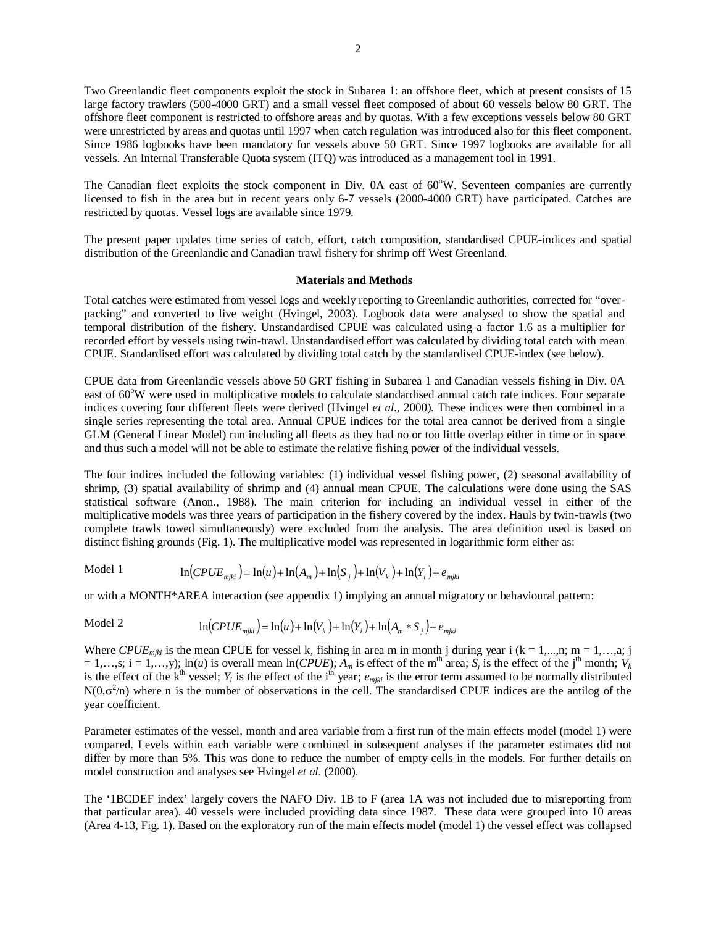Two Greenlandic fleet components exploit the stock in Subarea 1: an offshore fleet, which at present consists of 15 large factory trawlers (500-4000 GRT) and a small vessel fleet composed of about 60 vessels below 80 GRT. The offshore fleet component is restricted to offshore areas and by quotas. With a few exceptions vessels below 80 GRT were unrestricted by areas and quotas until 1997 when catch regulation was introduced also for this fleet component. Since 1986 logbooks have been mandatory for vessels above 50 GRT. Since 1997 logbooks are available for all vessels. An Internal Transferable Quota system (ITQ) was introduced as a management tool in 1991.

The Canadian fleet exploits the stock component in Div. 0A east of 60°W. Seventeen companies are currently licensed to fish in the area but in recent years only 6-7 vessels (2000-4000 GRT) have participated. Catches are restricted by quotas. Vessel logs are available since 1979.

The present paper updates time series of catch, effort, catch composition, standardised CPUE-indices and spatial distribution of the Greenlandic and Canadian trawl fishery for shrimp off West Greenland.

#### **Materials and Methods**

Total catches were estimated from vessel logs and weekly reporting to Greenlandic authorities, corrected for "overpacking" and converted to live weight (Hvingel, 2003). Logbook data were analysed to show the spatial and temporal distribution of the fishery. Unstandardised CPUE was calculated using a factor 1.6 as a multiplier for recorded effort by vessels using twin-trawl. Unstandardised effort was calculated by dividing total catch with mean CPUE. Standardised effort was calculated by dividing total catch by the standardised CPUE-index (see below).

CPUE data from Greenlandic vessels above 50 GRT fishing in Subarea 1 and Canadian vessels fishing in Div. 0A east of 60°W were used in multiplicative models to calculate standardised annual catch rate indices. Four separate indices covering four different fleets were derived (Hvingel *et al.,* 2000). These indices were then combined in a single series representing the total area. Annual CPUE indices for the total area cannot be derived from a single GLM (General Linear Model) run including all fleets as they had no or too little overlap either in time or in space and thus such a model will not be able to estimate the relative fishing power of the individual vessels.

The four indices included the following variables: (1) individual vessel fishing power, (2) seasonal availability of shrimp, (3) spatial availability of shrimp and (4) annual mean CPUE. The calculations were done using the SAS statistical software (Anon., 1988). The main criterion for including an individual vessel in either of the multiplicative models was three years of participation in the fishery covered by the index. Hauls by twin-trawls (two complete trawls towed simultaneously) were excluded from the analysis. The area definition used is based on distinct fishing grounds (Fig. 1). The multiplicative model was represented in logarithmic form either as:

Model 1 
$$
\ln(CPUE_{mjki}) = \ln(u) + \ln(A_m) + \ln(S_j) + \ln(V_k) + \ln(Y_i) + e_{mjki}
$$

or with a MONTH\*AREA interaction (see appendix 1) implying an annual migratory or behavioural pattern:

Model 2 
$$
\ln(CPUE_{mjki}) = \ln(u) + \ln(V_k) + \ln(Y_i) + \ln(A_m * S_j) + e_{mjki}
$$

Where *CPUE<sub>mjki</sub>* is the mean CPUE for vessel k, fishing in area m in month j during year i (k = 1,...,n; m = 1,...,a; j  $= 1,...,s; i = 1,...,y; ln(u)$  is overall mean  $ln(CPUE)$ ;  $\overline{A}_m$  is effect of the m<sup>th</sup> area;  $S_j$  is the effect of the j<sup>th</sup> month;  $V_k$ is the effect of the k<sup>th</sup> vessel;  $Y_i$  is the effect of the i<sup>th</sup> year;  $e_{mjki}$  is the error term assumed to be normally distributed  $N(0,\sigma^2/n)$  where n is the number of observations in the cell. The standardised CPUE indices are the antilog of the year coefficient.

Parameter estimates of the vessel, month and area variable from a first run of the main effects model (model 1) were compared. Levels within each variable were combined in subsequent analyses if the parameter estimates did not differ by more than 5%. This was done to reduce the number of empty cells in the models. For further details on model construction and analyses see Hvingel *et al.* (2000).

The '1BCDEF index' largely covers the NAFO Div. 1B to F (area 1A was not included due to misreporting from that particular area). 40 vessels were included providing data since 1987. These data were grouped into 10 areas (Area 4-13, Fig. 1). Based on the exploratory run of the main effects model (model 1) the vessel effect was collapsed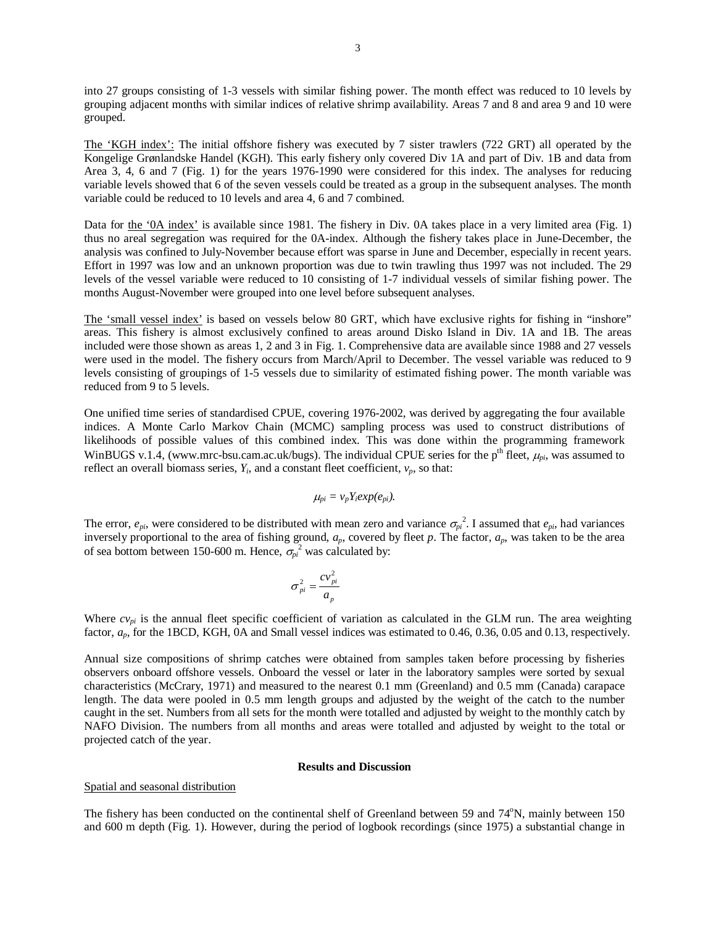into 27 groups consisting of 1-3 vessels with similar fishing power. The month effect was reduced to 10 levels by grouping adjacent months with similar indices of relative shrimp availability. Areas 7 and 8 and area 9 and 10 were grouped.

The 'KGH index': The initial offshore fishery was executed by 7 sister trawlers (722 GRT) all operated by the Kongelige Grønlandske Handel (KGH). This early fishery only covered Div 1A and part of Div. 1B and data from Area 3, 4, 6 and 7 (Fig. 1) for the years 1976-1990 were considered for this index. The analyses for reducing variable levels showed that 6 of the seven vessels could be treated as a group in the subsequent analyses. The month variable could be reduced to 10 levels and area 4, 6 and 7 combined.

Data for the '0A index' is available since 1981. The fishery in Div. 0A takes place in a very limited area (Fig. 1) thus no areal segregation was required for the 0A-index. Although the fishery takes place in June-December, the analysis was confined to July-November because effort was sparse in June and December, especially in recent years. Effort in 1997 was low and an unknown proportion was due to twin trawling thus 1997 was not included. The 29 levels of the vessel variable were reduced to 10 consisting of 1-7 individual vessels of similar fishing power. The months August-November were grouped into one level before subsequent analyses.

The 'small vessel index' is based on vessels below 80 GRT, which have exclusive rights for fishing in "inshore" areas. This fishery is almost exclusively confined to areas around Disko Island in Div. 1A and 1B. The areas included were those shown as areas 1, 2 and 3 in Fig. 1. Comprehensive data are available since 1988 and 27 vessels were used in the model. The fishery occurs from March/April to December. The vessel variable was reduced to 9 levels consisting of groupings of 1-5 vessels due to similarity of estimated fishing power. The month variable was reduced from 9 to 5 levels.

One unified time series of standardised CPUE, covering 1976-2002, was derived by aggregating the four available indices. A Monte Carlo Markov Chain (MCMC) sampling process was used to construct distributions of likelihoods of possible values of this combined index. This was done within the programming framework WinBUGS v.1.4, (www.mrc-bsu.cam.ac.uk/bugs). The individual CPUE series for the p<sup>th</sup> fleet,  $\mu_{pi}$ , was assumed to reflect an overall biomass series,  $Y_i$ , and a constant fleet coefficient,  $v_p$ , so that:

$$
\mu_{pi} = v_p Y_i exp(e_{pi}).
$$

The error,  $e_{pi}$ , were considered to be distributed with mean zero and variance  $\sigma_{pi}^2$ . I assumed that  $e_{pi}$ , had variances inversely proportional to the area of fishing ground, *ap*, covered by fleet *p*. The factor, *ap*, was taken to be the area of sea bottom between 150-600 m. Hence,  $\sigma_{pi}^2$  was calculated by:

$$
\sigma_{pi}^2 = \frac{cv_{pi}^2}{a_p}
$$

Where  $cv_{pi}$  is the annual fleet specific coefficient of variation as calculated in the GLM run. The area weighting factor,  $a_p$ , for the 1BCD, KGH, 0A and Small vessel indices was estimated to 0.46, 0.36, 0.05 and 0.13, respectively.

Annual size compositions of shrimp catches were obtained from samples taken before processing by fisheries observers onboard offshore vessels. Onboard the vessel or later in the laboratory samples were sorted by sexual characteristics (McCrary, 1971) and measured to the nearest 0.1 mm (Greenland) and 0.5 mm (Canada) carapace length. The data were pooled in 0.5 mm length groups and adjusted by the weight of the catch to the number caught in the set. Numbers from all sets for the month were totalled and adjusted by weight to the monthly catch by NAFO Division. The numbers from all months and areas were totalled and adjusted by weight to the total or projected catch of the year.

#### **Results and Discussion**

#### Spatial and seasonal distribution

The fishery has been conducted on the continental shelf of Greenland between 59 and 74°N, mainly between 150 and 600 m depth (Fig. 1). However, during the period of logbook recordings (since 1975) a substantial change in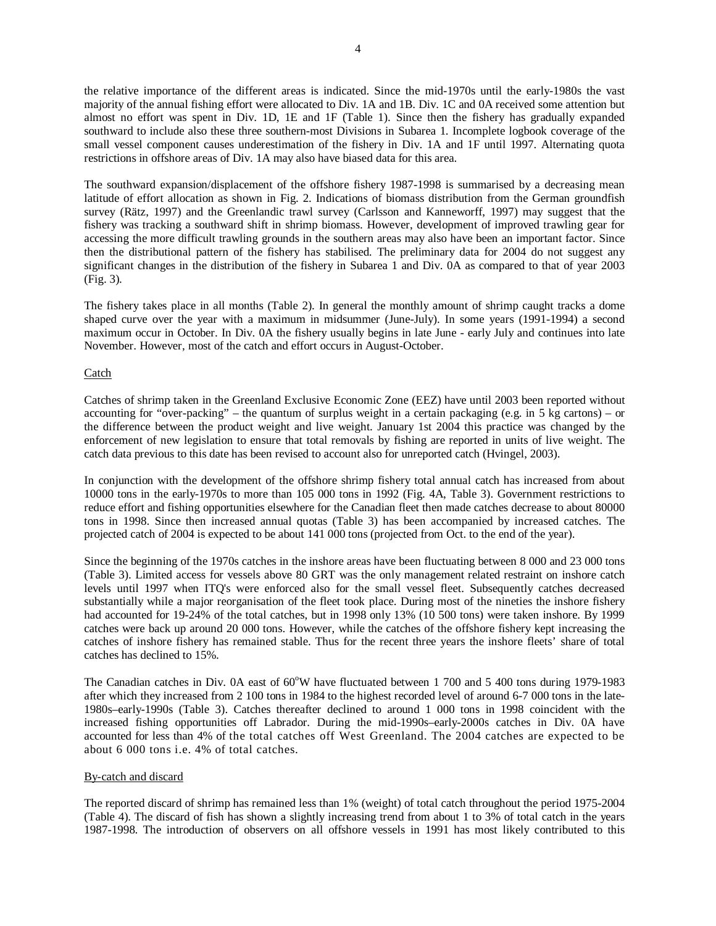the relative importance of the different areas is indicated. Since the mid-1970s until the early-1980s the vast majority of the annual fishing effort were allocated to Div. 1A and 1B. Div. 1C and 0A received some attention but almost no effort was spent in Div. 1D, 1E and 1F (Table 1). Since then the fishery has gradually expanded southward to include also these three southern-most Divisions in Subarea 1. Incomplete logbook coverage of the small vessel component causes underestimation of the fishery in Div. 1A and 1F until 1997. Alternating quota restrictions in offshore areas of Div. 1A may also have biased data for this area.

The southward expansion/displacement of the offshore fishery 1987-1998 is summarised by a decreasing mean latitude of effort allocation as shown in Fig. 2. Indications of biomass distribution from the German groundfish survey (Rätz, 1997) and the Greenlandic trawl survey (Carlsson and Kanneworff, 1997) may suggest that the fishery was tracking a southward shift in shrimp biomass. However, development of improved trawling gear for accessing the more difficult trawling grounds in the southern areas may also have been an important factor. Since then the distributional pattern of the fishery has stabilised. The preliminary data for 2004 do not suggest any significant changes in the distribution of the fishery in Subarea 1 and Div. 0A as compared to that of year 2003 (Fig. 3).

The fishery takes place in all months (Table 2). In general the monthly amount of shrimp caught tracks a dome shaped curve over the year with a maximum in midsummer (June-July). In some years (1991-1994) a second maximum occur in October. In Div. 0A the fishery usually begins in late June - early July and continues into late November. However, most of the catch and effort occurs in August-October.

# Catch

Catches of shrimp taken in the Greenland Exclusive Economic Zone (EEZ) have until 2003 been reported without accounting for "over-packing" – the quantum of surplus weight in a certain packaging (e.g. in 5 kg cartons) – or the difference between the product weight and live weight. January 1st 2004 this practice was changed by the enforcement of new legislation to ensure that total removals by fishing are reported in units of live weight. The catch data previous to this date has been revised to account also for unreported catch (Hvingel, 2003).

In conjunction with the development of the offshore shrimp fishery total annual catch has increased from about 10000 tons in the early-1970s to more than 105 000 tons in 1992 (Fig. 4A, Table 3). Government restrictions to reduce effort and fishing opportunities elsewhere for the Canadian fleet then made catches decrease to about 80000 tons in 1998. Since then increased annual quotas (Table 3) has been accompanied by increased catches. The projected catch of 2004 is expected to be about 141 000 tons (projected from Oct. to the end of the year).

Since the beginning of the 1970s catches in the inshore areas have been fluctuating between 8 000 and 23 000 tons (Table 3). Limited access for vessels above 80 GRT was the only management related restraint on inshore catch levels until 1997 when ITQ's were enforced also for the small vessel fleet. Subsequently catches decreased substantially while a major reorganisation of the fleet took place. During most of the nineties the inshore fishery had accounted for 19-24% of the total catches, but in 1998 only 13% (10 500 tons) were taken inshore. By 1999 catches were back up around 20 000 tons. However, while the catches of the offshore fishery kept increasing the catches of inshore fishery has remained stable. Thus for the recent three years the inshore fleets' share of total catches has declined to 15%.

The Canadian catches in Div. 0A east of 60°W have fluctuated between 1 700 and 5 400 tons during 1979-1983 after which they increased from 2 100 tons in 1984 to the highest recorded level of around 6-7 000 tons in the late-1980s–early-1990s (Table 3). Catches thereafter declined to around 1 000 tons in 1998 coincident with the increased fishing opportunities off Labrador. During the mid-1990s–early-2000s catches in Div. 0A have accounted for less than 4% of the total catches off West Greenland. The 2004 catches are expected to be about 6 000 tons i.e. 4% of total catches.

#### By-catch and discard

The reported discard of shrimp has remained less than 1% (weight) of total catch throughout the period 1975-2004 (Table 4). The discard of fish has shown a slightly increasing trend from about 1 to 3% of total catch in the years 1987-1998. The introduction of observers on all offshore vessels in 1991 has most likely contributed to this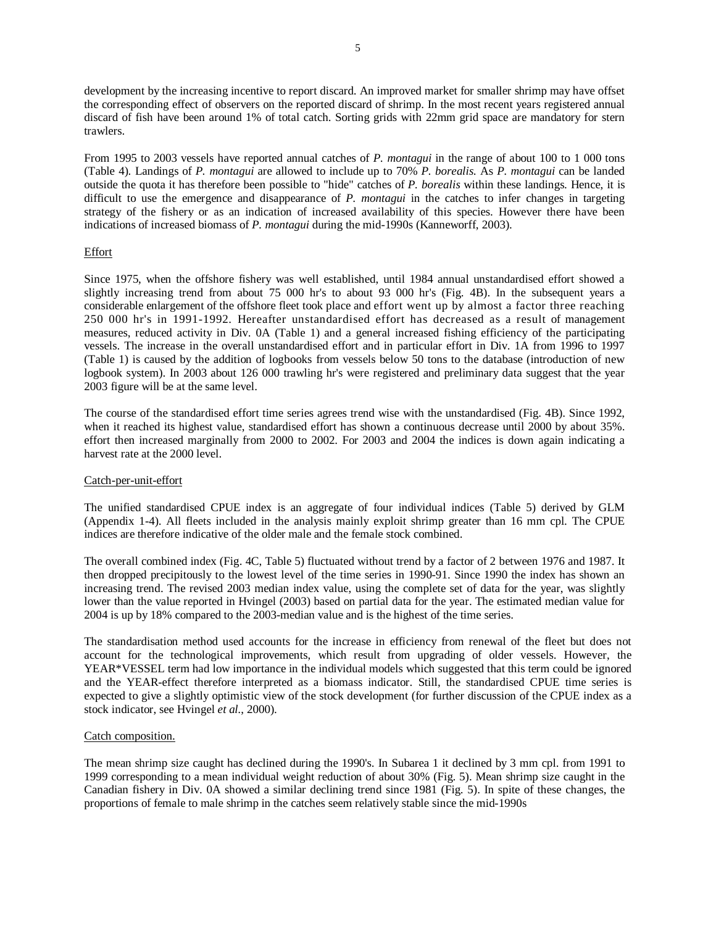development by the increasing incentive to report discard. An improved market for smaller shrimp may have offset the corresponding effect of observers on the reported discard of shrimp. In the most recent years registered annual discard of fish have been around 1% of total catch. Sorting grids with 22mm grid space are mandatory for stern trawlers.

From 1995 to 2003 vessels have reported annual catches of *P. montagui* in the range of about 100 to 1 000 tons (Table 4). Landings of *P. montagui* are allowed to include up to 70% *P. borealis*. As *P. montagui* can be landed outside the quota it has therefore been possible to "hide" catches of *P. borealis* within these landings. Hence, it is difficult to use the emergence and disappearance of *P. montagui* in the catches to infer changes in targeting strategy of the fishery or as an indication of increased availability of this species. However there have been indications of increased biomass of *P. montagui* during the mid-1990s (Kanneworff, 2003).

# Effort

Since 1975, when the offshore fishery was well established, until 1984 annual unstandardised effort showed a slightly increasing trend from about 75 000 hr's to about 93 000 hr's (Fig. 4B). In the subsequent years a considerable enlargement of the offshore fleet took place and effort went up by almost a factor three reaching 250 000 hr's in 1991-1992. Hereafter unstandardised effort has decreased as a result of management measures, reduced activity in Div. 0A (Table 1) and a general increased fishing efficiency of the participating vessels. The increase in the overall unstandardised effort and in particular effort in Div. 1A from 1996 to 1997 (Table 1) is caused by the addition of logbooks from vessels below 50 tons to the database (introduction of new logbook system). In 2003 about 126 000 trawling hr's were registered and preliminary data suggest that the year 2003 figure will be at the same level.

The course of the standardised effort time series agrees trend wise with the unstandardised (Fig. 4B). Since 1992, when it reached its highest value, standardised effort has shown a continuous decrease until 2000 by about 35%. effort then increased marginally from 2000 to 2002. For 2003 and 2004 the indices is down again indicating a harvest rate at the 2000 level.

### Catch-per-unit-effort

The unified standardised CPUE index is an aggregate of four individual indices (Table 5) derived by GLM (Appendix 1-4). All fleets included in the analysis mainly exploit shrimp greater than 16 mm cpl. The CPUE indices are therefore indicative of the older male and the female stock combined.

The overall combined index (Fig. 4C, Table 5) fluctuated without trend by a factor of 2 between 1976 and 1987. It then dropped precipitously to the lowest level of the time series in 1990-91. Since 1990 the index has shown an increasing trend. The revised 2003 median index value, using the complete set of data for the year, was slightly lower than the value reported in Hvingel (2003) based on partial data for the year. The estimated median value for 2004 is up by 18% compared to the 2003-median value and is the highest of the time series.

The standardisation method used accounts for the increase in efficiency from renewal of the fleet but does not account for the technological improvements, which result from upgrading of older vessels. However, the YEAR\*VESSEL term had low importance in the individual models which suggested that this term could be ignored and the YEAR-effect therefore interpreted as a biomass indicator. Still, the standardised CPUE time series is expected to give a slightly optimistic view of the stock development (for further discussion of the CPUE index as a stock indicator, see Hvingel *et al.*, 2000).

#### Catch composition.

The mean shrimp size caught has declined during the 1990's. In Subarea 1 it declined by 3 mm cpl. from 1991 to 1999 corresponding to a mean individual weight reduction of about 30% (Fig. 5). Mean shrimp size caught in the Canadian fishery in Div. 0A showed a similar declining trend since 1981 (Fig. 5). In spite of these changes, the proportions of female to male shrimp in the catches seem relatively stable since the mid-1990s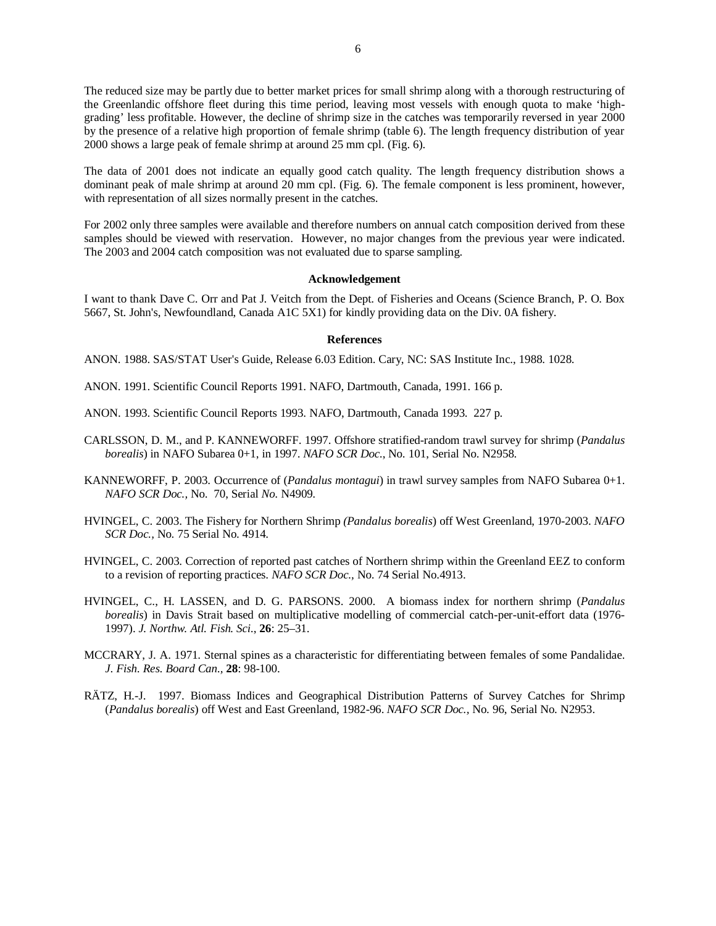The reduced size may be partly due to better market prices for small shrimp along with a thorough restructuring of the Greenlandic offshore fleet during this time period, leaving most vessels with enough quota to make 'highgrading' less profitable. However, the decline of shrimp size in the catches was temporarily reversed in year 2000 by the presence of a relative high proportion of female shrimp (table 6). The length frequency distribution of year 2000 shows a large peak of female shrimp at around 25 mm cpl. (Fig. 6).

The data of 2001 does not indicate an equally good catch quality. The length frequency distribution shows a dominant peak of male shrimp at around 20 mm cpl. (Fig. 6). The female component is less prominent, however, with representation of all sizes normally present in the catches.

For 2002 only three samples were available and therefore numbers on annual catch composition derived from these samples should be viewed with reservation. However, no major changes from the previous year were indicated. The 2003 and 2004 catch composition was not evaluated due to sparse sampling.

#### **Acknowledgement**

I want to thank Dave C. Orr and Pat J. Veitch from the Dept. of Fisheries and Oceans (Science Branch, P. O. Box 5667, St. John's, Newfoundland, Canada A1C 5X1) for kindly providing data on the Div. 0A fishery.

# **References**

ANON. 1988. SAS/STAT User's Guide, Release 6.03 Edition. Cary, NC: SAS Institute Inc., 1988. 1028.

- ANON. 1991. Scientific Council Reports 1991. NAFO, Dartmouth, Canada, 1991. 166 p.
- ANON. 1993. Scientific Council Reports 1993. NAFO, Dartmouth, Canada 1993. 227 p.
- CARLSSON, D. M., and P. KANNEWORFF. 1997. Offshore stratified-random trawl survey for shrimp (*Pandalus borealis*) in NAFO Subarea 0+1, in 1997. *NAFO SCR Doc.*, No. 101, Serial No. N2958.
- KANNEWORFF, P. 2003. Occurrence of (*Pandalus montagui*) in trawl survey samples from NAFO Subarea 0+1. *NAFO SCR Doc.,* No. 70, Serial *No.* N4909*.*
- HVINGEL, C. 2003. The Fishery for Northern Shrimp *(Pandalus borealis*) off West Greenland, 1970-2003. *NAFO SCR Doc.,* No. 75 Serial No. 4914.
- HVINGEL, C. 2003. Correction of reported past catches of Northern shrimp within the Greenland EEZ to conform to a revision of reporting practices. *NAFO SCR Doc.,* No. 74 Serial No.4913.
- HVINGEL, C., H. LASSEN, and D. G. PARSONS. 2000. A biomass index for northern shrimp (*Pandalus borealis*) in Davis Strait based on multiplicative modelling of commercial catch-per-unit-effort data (1976- 1997). *J. Northw. Atl. Fish. Sci.*, **26**: 25–31.
- MCCRARY, J. A. 1971. Sternal spines as a characteristic for differentiating between females of some Pandalidae. *J. Fish. Res. Board Can.,* **28**: 98-100.
- RÄTZ, H.-J. 1997. Biomass Indices and Geographical Distribution Patterns of Survey Catches for Shrimp (*Pandalus borealis*) off West and East Greenland, 1982-96. *NAFO SCR Doc.,* No. 96, Serial No. N2953.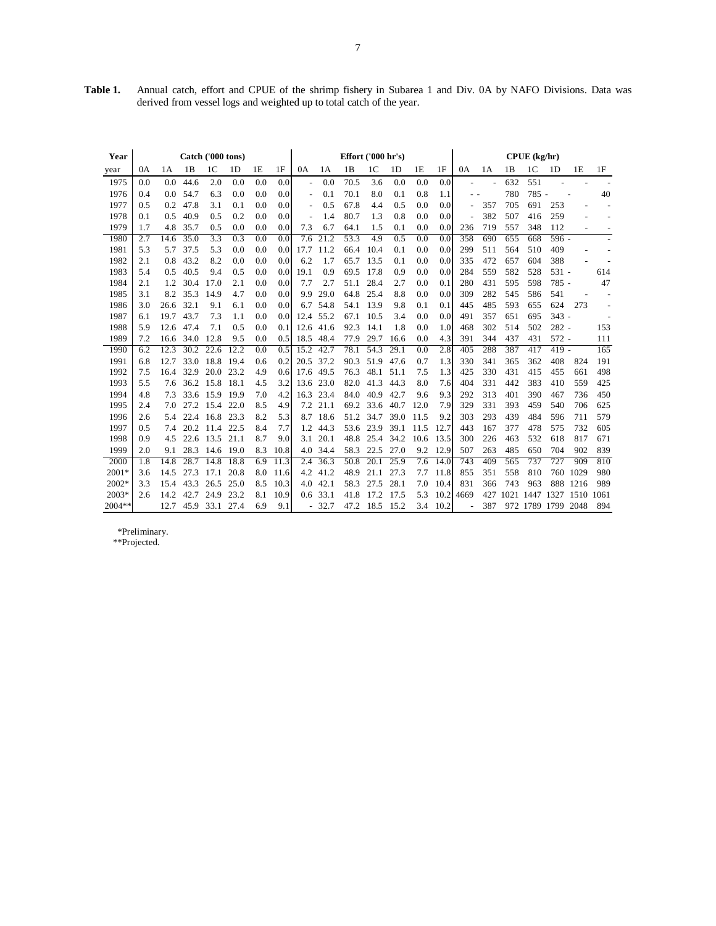| Year     | Catch ('000 tons) |      |      |                | Effort ('000 hr's) |     |                  |                          |         | CPUE (kg/hr) |                   |                |      |      |                          |     |      |               |         |      |      |
|----------|-------------------|------|------|----------------|--------------------|-----|------------------|--------------------------|---------|--------------|-------------------|----------------|------|------|--------------------------|-----|------|---------------|---------|------|------|
| year     | 0A                | 1A   | 1B   | 1 <sup>C</sup> | 1 <sub>D</sub>     | 1E  | 1F               | 0A                       | 1A      | 1B           | 1C                | 1 <sub>D</sub> | 1E   | 1F   | 0A                       | 1A  | 1B   | 1C            | 1D      | 1E   | 1F   |
| 1975     | 0.0               | 0.0  | 44.6 | 2.0            | 0.0                | 0.0 | 0.0              | $\overline{\phantom{a}}$ | 0.0     | 70.5         | 3.6               | 0.0            | 0.0  | 0.0  |                          |     | 632  | 551           |         |      |      |
| 1976     | 0.4               | 0.0  | 54.7 | 6.3            | 0.0                | 0.0 | 0.0              | $\overline{\phantom{a}}$ | 0.1     | 70.1         | 8.0               | 0.1            | 0.8  | 1.1  | $ -$                     |     | 780  | 785 -         |         |      | 40   |
| 1977     | 0.5               | 0.2  | 47.8 | 3.1            | 0.1                | 0.0 | 0.0              | $\overline{\phantom{a}}$ | 0.5     | 67.8         | 4.4               | 0.5            | 0.0  | 0.0  | $\overline{\phantom{a}}$ | 357 | 705  | 691           | 253     |      |      |
| 1978     | 0.1               | 0.5  | 40.9 | 0.5            | 0.2                | 0.0 | 0.0              |                          | 1.4     | 80.7         | 1.3               | 0.8            | 0.0  | 0.0  |                          | 382 | 507  | 416           | 259     |      |      |
| 1979     | 1.7               | 4.8  | 35.7 | 0.5            | 0.0                | 0.0 | 0.0              | 7.3                      | 6.7     | 64.1         | 1.5               | 0.1            | 0.0  | 0.0  | 236                      | 719 | 557  | 348           | 112     |      |      |
| 1980     | 2.7               | 14.6 | 35.0 | 3.3            | 0.3                | 0.0 | 0.0              | 7.6                      | 21.2    | 53.3         | 4.9               | 0.5            | 0.0  | 0.0  | 358                      | 690 | 655  | 668           | 596 -   |      |      |
| 1981     | 5.3               | 5.7  | 37.5 | 5.3            | 0.0                | 0.0 | 0.0 <sub>l</sub> | 17.7                     | 11.2    | 66.4         | 10.4              | 0.1            | 0.0  | 0.0  | 299                      | 511 | 564  | 510           | 409     |      |      |
| 1982     | 2.1               | 0.8  | 43.2 | 8.2            | 0.0                | 0.0 | 0.0              | 6.2                      | 1.7     | 65.7         | 13.5              | 0.1            | 0.0  | 0.0  | 335                      | 472 | 657  | 604           | 388     |      |      |
| 1983     | 5.4               | 0.5  | 40.5 | 9.4            | 0.5                | 0.0 | 0.0              | 19.1                     | 0.9     | 69.5         | 17.8              | 0.9            | 0.0  | 0.0  | 284                      | 559 | 582  | 528           | 531 -   |      | 614  |
| 1984     | 2.1               | 1.2  | 30.4 | 17.0           | 2.1                | 0.0 | 0.0              | 7.7                      | 2.7     | 51.1         | 28.4              | 2.7            | 0.0  | 0.1  | 280                      | 431 | 595  | 598           | 785 -   |      | 47   |
| 1985     | 3.1               | 8.2  | 35.3 | 14.9           | 4.7                | 0.0 | 0.0              | 9.9                      | 29.0    | 64.8         | 25.4              | 8.8            | 0.0  | 0.0  | 309                      | 282 | 545  | 586           | 541     |      |      |
| 1986     | 3.0               | 26.6 | 32.1 | 9.1            | 6.1                | 0.0 | 0.0              | 6.7                      | 54.8    | 54.1         | 13.9              | 9.8            | 0.1  | 0.1  | 445                      | 485 | 593  | 655           | 624     | 273  |      |
| 1987     | 6.1               | 19.7 | 43.7 | 7.3            | 1.1                | 0.0 | 0.0              | 12.4                     | 55.2    | 67.1         | 10.5              | 3.4            | 0.0  | 0.0  | 491                      | 357 | 651  | 695           | $343 -$ |      |      |
| 1988     | 5.9               | 12.6 | 47.4 | 7.1            | 0.5                | 0.0 | 0.1              | 12.6                     | 41.6    | 92.3         | 14.1              | 1.8            | 0.0  | 1.0  | 468                      | 302 | 514  | 502           | $282 -$ |      | 153  |
| 1989     | 7.2               | 16.6 | 34.0 | 12.8           | 9.5                | 0.0 | 0.5              | 18.5                     | 48.4    | 77.9         | 29.7              | 16.6           | 0.0  | 4.3  | 391                      | 344 | 437  | 431           | $572 -$ |      | 111  |
| 1990     | 6.2               | 12.3 | 30.2 | 22.6           | 12.2               | 0.0 | 0.5              | 15.2                     | 42.7    | 78.1         | 54.3              | 29.1           | 0.0  | 2.8  | 405                      | 288 | 387  | 417           | $419 -$ |      | 165  |
| 1991     | 6.8               | 12.7 | 33.0 | 18.8           | 19.4               | 0.6 | 0.2              | 20.5                     | 37.2    | 90.3         | 51.9              | 47.6           | 0.7  | 1.3  | 330                      | 341 | 365  | 362           | 408     | 824  | 191  |
| 1992     | 7.5               | 16.4 | 32.9 | 20.0           | 23.2               | 4.9 | 0.6              | 17.6                     | 49.5    | 76.3         | 48.1              | 51.1           | 7.5  | 1.3  | 425                      | 330 | 431  | 415           | 455     | 661  | 498  |
| 1993     | 5.5               | 7.6  | 36.2 | 15.8           | 18.1               | 4.5 | 3.2              | 13.6                     | 23.0    | 82.0         | 41.3              | 44.3           | 8.0  | 7.6  | 404                      | 331 | 442  | 383           | 410     | 559  | 425  |
| 1994     | 4.8               | 7.3  | 33.6 | 15.9           | 19.9               | 7.0 | 4.2              | 16.3                     | 23.4    | 84.0         | 40.9              | 42.7           | 9.6  | 9.3  | 292                      | 313 | 401  | 390           | 467     | 736  | 450  |
| 1995     | 2.4               | 7.0  | 27.2 | 15.4           | 22.0               | 8.5 | 4.9              | 7.2                      | 21.1    | 69.2         | 33.6              | 40.7           | 12.0 | 7.9  | 329                      | 331 | 393  | 459           | 540     | 706  | 625  |
| 1996     | 2.6               | 5.4  | 22.4 | 16.8           | 23.3               | 8.2 | 5.3              | 8.7                      | 18.6    | 51.2         | 34.7              | 39.0           | 11.5 | 9.2  | 303                      | 293 | 439  | 484           | 596     | 711  | 579  |
| 1997     | 0.5               | 7.4  | 20.2 | 11.4           | 22.5               | 8.4 | 7.7              | 1.2                      | 44.3    | 53.6         | 23.9              | 39.1           | 11.5 | 12.7 | 443                      | 167 | 377  | 478           | 575     | 732  | 605  |
| 1998     | 0.9               | 4.5  | 22.6 | 13.5           | 21.1               | 8.7 | 9.0              | 3.1                      | 20.1    | 48.8         | 25.4              | 34.2           | 10.6 | 13.5 | 300                      | 226 | 463  | 532           | 618     | 817  | 671  |
| 1999     | 2.0               | 9.1  | 28.3 | 14.6           | - 19.0             | 8.3 | 10.8             | 4.0                      | 34.4    | 58.3         | 22.5              | 27.0           | 9.2  | 12.9 | 507                      | 263 | 485  | 650           | 704     | 902  | 839  |
| 2000     | 1.8               | 14.8 | 28.7 | 14.8           | 18.8               | 6.9 | 11.3             | 2.4                      | 36.3    | 50.8         | $\overline{20.1}$ | 25.9           | 7.6  | 14.0 | 743                      | 409 | 565  | 737           | 727     | 909  | 810  |
| 2001*    | 3.6               | 14.5 | 27.3 | 17.1           | 20.8               | 8.0 | 11.6             | 4.2                      | 41.2    | 48.9         | 21.1              | 27.3           | 7.7  | 11.8 | 855                      | 351 | 558  | 810           | 760     | 1029 | 980  |
| 2002*    | 3.3               | 15.4 | 43.3 | 26.5           | 25.0               | 8.5 | 10.3             | 4.0                      | 42.1    | 58.3         | 27.5              | 28.1           | 7.0  | 10.4 | 831                      | 366 | 743  | 963           | 888     | 1216 | 989  |
| $2003*$  | 2.6               | 14.2 | 42.7 | 24.9           | 23.2               | 8.1 | 10.9             | 0.6                      | 33.1    | 41.8         | 17.2              | 17.5           | 5.3  | 10.2 | 4669                     | 427 | 1021 | 1447          | 1327    | 1510 | 1061 |
| $2004**$ |                   | 12.7 | 45.9 | 33.1           | 27.4               | 6.9 | 9.1              |                          | $-32.7$ | 47.2         | 18.5              | 15.2           | 3.4  | 10.2 |                          | 387 |      | 972 1789 1799 |         | 2048 | 894  |

**Table 1.** Annual catch, effort and CPUE of the shrimp fishery in Subarea 1 and Div. 0A by NAFO Divisions. Data was derived from vessel logs and weighted up to total catch of the year.

 \*Preliminary. \*\*Projected.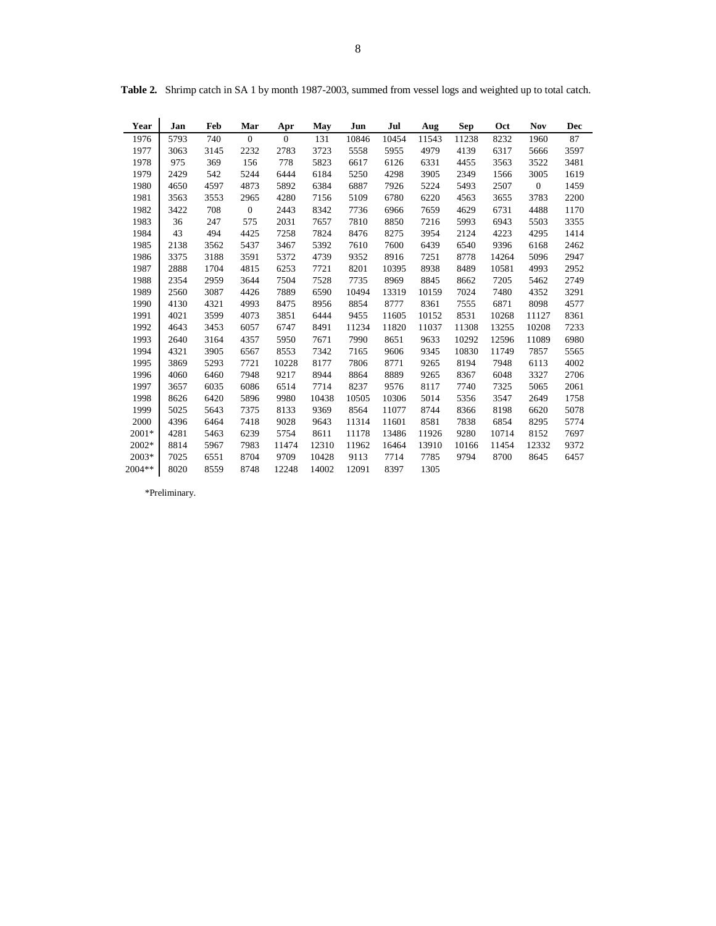| Year   | Jan  | Feb  | Mar            | Apr          | May   | Jun   | Jul   | Aug   | ${\bf Sep}$ | Oct   | <b>Nov</b>   | Dec  |
|--------|------|------|----------------|--------------|-------|-------|-------|-------|-------------|-------|--------------|------|
| 1976   | 5793 | 740  | $\mathbf{0}$   | $\mathbf{0}$ | 131   | 10846 | 10454 | 11543 | 11238       | 8232  | 1960         | 87   |
| 1977   | 3063 | 3145 | 2232           | 2783         | 3723  | 5558  | 5955  | 4979  | 4139        | 6317  | 5666         | 3597 |
| 1978   | 975  | 369  | 156            | 778          | 5823  | 6617  | 6126  | 6331  | 4455        | 3563  | 3522         | 3481 |
| 1979   | 2429 | 542  | 5244           | 6444         | 6184  | 5250  | 4298  | 3905  | 2349        | 1566  | 3005         | 1619 |
| 1980   | 4650 | 4597 | 4873           | 5892         | 6384  | 6887  | 7926  | 5224  | 5493        | 2507  | $\mathbf{0}$ | 1459 |
| 1981   | 3563 | 3553 | 2965           | 4280         | 7156  | 5109  | 6780  | 6220  | 4563        | 3655  | 3783         | 2200 |
| 1982   | 3422 | 708  | $\overline{0}$ | 2443         | 8342  | 7736  | 6966  | 7659  | 4629        | 6731  | 4488         | 1170 |
| 1983   | 36   | 247  | 575            | 2031         | 7657  | 7810  | 8850  | 7216  | 5993        | 6943  | 5503         | 3355 |
| 1984   | 43   | 494  | 4425           | 7258         | 7824  | 8476  | 8275  | 3954  | 2124        | 4223  | 4295         | 1414 |
| 1985   | 2138 | 3562 | 5437           | 3467         | 5392  | 7610  | 7600  | 6439  | 6540        | 9396  | 6168         | 2462 |
| 1986   | 3375 | 3188 | 3591           | 5372         | 4739  | 9352  | 8916  | 7251  | 8778        | 14264 | 5096         | 2947 |
| 1987   | 2888 | 1704 | 4815           | 6253         | 7721  | 8201  | 10395 | 8938  | 8489        | 10581 | 4993         | 2952 |
| 1988   | 2354 | 2959 | 3644           | 7504         | 7528  | 7735  | 8969  | 8845  | 8662        | 7205  | 5462         | 2749 |
| 1989   | 2560 | 3087 | 4426           | 7889         | 6590  | 10494 | 13319 | 10159 | 7024        | 7480  | 4352         | 3291 |
| 1990   | 4130 | 4321 | 4993           | 8475         | 8956  | 8854  | 8777  | 8361  | 7555        | 6871  | 8098         | 4577 |
| 1991   | 4021 | 3599 | 4073           | 3851         | 6444  | 9455  | 11605 | 10152 | 8531        | 10268 | 11127        | 8361 |
| 1992   | 4643 | 3453 | 6057           | 6747         | 8491  | 11234 | 11820 | 11037 | 11308       | 13255 | 10208        | 7233 |
| 1993   | 2640 | 3164 | 4357           | 5950         | 7671  | 7990  | 8651  | 9633  | 10292       | 12596 | 11089        | 6980 |
| 1994   | 4321 | 3905 | 6567           | 8553         | 7342  | 7165  | 9606  | 9345  | 10830       | 11749 | 7857         | 5565 |
| 1995   | 3869 | 5293 | 7721           | 10228        | 8177  | 7806  | 8771  | 9265  | 8194        | 7948  | 6113         | 4002 |
| 1996   | 4060 | 6460 | 7948           | 9217         | 8944  | 8864  | 8889  | 9265  | 8367        | 6048  | 3327         | 2706 |
| 1997   | 3657 | 6035 | 6086           | 6514         | 7714  | 8237  | 9576  | 8117  | 7740        | 7325  | 5065         | 2061 |
| 1998   | 8626 | 6420 | 5896           | 9980         | 10438 | 10505 | 10306 | 5014  | 5356        | 3547  | 2649         | 1758 |
| 1999   | 5025 | 5643 | 7375           | 8133         | 9369  | 8564  | 11077 | 8744  | 8366        | 8198  | 6620         | 5078 |
| 2000   | 4396 | 6464 | 7418           | 9028         | 9643  | 11314 | 11601 | 8581  | 7838        | 6854  | 8295         | 5774 |
| 2001*  | 4281 | 5463 | 6239           | 5754         | 8611  | 11178 | 13486 | 11926 | 9280        | 10714 | 8152         | 7697 |
| 2002*  | 8814 | 5967 | 7983           | 11474        | 12310 | 11962 | 16464 | 13910 | 10166       | 11454 | 12332        | 9372 |
| 2003*  | 7025 | 6551 | 8704           | 9709         | 10428 | 9113  | 7714  | 7785  | 9794        | 8700  | 8645         | 6457 |
| 2004** | 8020 | 8559 | 8748           | 12248        | 14002 | 12091 | 8397  | 1305  |             |       |              |      |

**Table 2.** Shrimp catch in SA 1 by month 1987-2003, summed from vessel logs and weighted up to total catch.

\*Preliminary.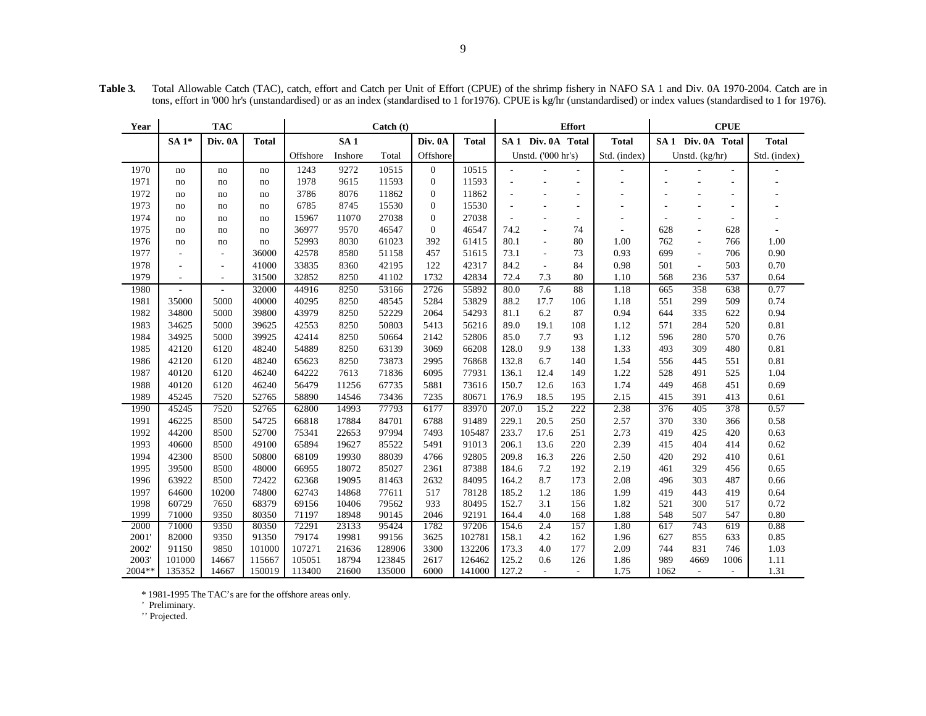| Year           |                          | <b>TAC</b><br>$\text{Catch}$ (t) |                  |                  |                 |                  | <b>Effort</b>  |                  |                    |                               | <b>CPUE</b>              |                          |            |                               |                          |              |
|----------------|--------------------------|----------------------------------|------------------|------------------|-----------------|------------------|----------------|------------------|--------------------|-------------------------------|--------------------------|--------------------------|------------|-------------------------------|--------------------------|--------------|
|                | $SA1*$                   | Div. 0A                          | <b>Total</b>     |                  | SA <sub>1</sub> |                  | Div. 0A        | <b>Total</b>     |                    | SA <sub>1</sub> Div. 0A Total |                          | <b>Total</b>             |            | SA <sub>1</sub> Div. 0A Total |                          | <b>Total</b> |
|                |                          |                                  |                  | Offshore         | Inshore         | Total            | Offshore       |                  |                    | Unstd. ('000 hr's)            |                          | Std. (index)             |            | Unstd. (kg/hr)                |                          | Std. (index) |
| 1970           | no                       | no                               | no               | 1243             | 9272            | 10515            | $\overline{0}$ | 10515            |                    |                               |                          |                          |            |                               | ÷                        |              |
| 1971           | no                       | no                               | no               | 1978             | 9615            | 11593            | $\overline{0}$ | 11593            |                    |                               | $\overline{\phantom{a}}$ | $\sim$                   |            |                               | ÷                        |              |
| 1972           | no                       | no                               | no               | 3786             | 8076            | 11862            | $\mathbf{0}$   | 11862            |                    | L,                            |                          | $\sim$                   |            |                               | $\overline{\phantom{a}}$ |              |
| 1973           | no                       | no                               | no               | 6785             | 8745            | 15530            | $\Omega$       | 15530            |                    | ÷,                            | $\overline{\phantom{a}}$ | $\overline{\phantom{a}}$ |            | ÷,                            | $\overline{\phantom{a}}$ |              |
| 1974           | no                       | no                               | no               | 15967            | 11070           | 27038            | $\mathbf{0}$   | 27038            | $\sim$             | ٠                             | $\overline{\phantom{a}}$ | $\sim$                   | $\sim$     | ÷,                            | ٠                        |              |
| 1975           | no                       | no                               | no               | 36977            | 9570            | 46547            | $\overline{0}$ | 46547            | 74.2               | $\overline{\phantom{a}}$      | 74                       | $\sim$                   | 628        | ٠                             | 628                      |              |
| 1976           | no                       | no                               | no               | 52993            | 8030            | 61023            | 392            | 61415            | 80.1               | $\overline{\phantom{a}}$      | 80                       | 1.00                     | 762        | $\overline{\phantom{a}}$      | 766                      | 1.00         |
| 1977           | $\sim$                   | $\mathbf{r}$                     | 36000            | 42578            | 8580            | 51158            | 457            | 51615            | 73.1               | $\overline{\phantom{a}}$      | 73                       | 0.93                     | 699        | $\overline{\phantom{a}}$      | 706                      | 0.90         |
| 1978           | $\overline{\phantom{a}}$ | $\overline{\phantom{a}}$         | 41000            | 33835            | 8360            | 42195            | 122            | 42317            | 84.2               | $\overline{\phantom{a}}$      | 84                       | 0.98                     | 501        | $\overline{\phantom{a}}$      | 503                      | 0.70         |
| 1979           | $\overline{\phantom{a}}$ | $\sim$                           | 31500            | 32852            | 8250            | 41102            | 1732           | 42834            | 72.4               | 7.3                           | 80                       | 1.10                     | 568        | 236                           | 537                      | 0.64         |
| 1980           | $\sim$                   | $\sim$                           | 32000            | 44916            | 8250            | 53166            | 2726           | 55892            | 80.0               | 7.6                           | 88                       | 1.18                     | 665        | 358                           | 638                      | 0.77         |
| 1981           | 35000                    | 5000                             | 40000            | 40295            | 8250            | 48545            | 5284           | 53829            | 88.2               | 17.7                          | 106                      | 1.18                     | 551        | 299                           | 509                      | 0.74         |
| 1982           | 34800                    | 5000                             | 39800            | 43979            | 8250            | 52229            | 2064           | 54293            | 81.1               | 6.2                           | 87                       | 0.94                     | 644        | 335                           | 622                      | 0.94         |
| 1983           | 34625                    | 5000                             | 39625            | 42553            | 8250            | 50803            | 5413           | 56216            | 89.0               | 19.1                          | 108                      | 1.12                     | 571        | 284                           | 520                      | 0.81         |
| 1984           | 34925                    | 5000                             | 39925            | 42414            | 8250            | 50664            | 2142           | 52806            | 85.0               | 7.7                           | 93                       | 1.12                     | 596        | 280                           | 570                      | 0.76         |
| 1985           | 42120                    | 6120                             | 48240            | 54889            | 8250            | 63139            | 3069           | 66208            | 128.0              | 9.9                           | 138                      | 1.33                     | 493        | 309                           | 480                      | 0.81         |
| 1986           | 42120                    | 6120                             | 48240            | 65623            | 8250            | 73873            | 2995           | 76868            | 132.8              | 6.7                           | 140                      | 1.54                     | 556        | 445                           | 551                      | 0.81         |
| 1987           | 40120                    | 6120                             | 46240            | 64222            | 7613            | 71836            | 6095           | 77931            | 136.1              | 12.4                          | 149                      | 1.22                     | 528        | 491                           | 525                      | 1.04         |
| 1988           | 40120                    | 6120                             | 46240            | 56479            | 11256           | 67735            | 5881           | 73616            | 150.7              | 12.6                          | 163                      | 1.74                     | 449        | 468                           | 451                      | 0.69         |
| 1989           | 45245                    | 7520                             | 52765            | 58890            | 14546           | 73436            | 7235           | 80671            | 176.9              | 18.5                          | 195                      | 2.15                     | 415        | 391                           | 413                      | 0.61         |
| 1990           | 45245                    | 7520                             | 52765            | 62800            | 14993           | 77793            | 6177           | 83970            | $\overline{207.0}$ | 15.2                          | 222                      | 2.38                     | 376        | 405                           | 378                      | 0.57         |
| 1991           | 46225                    | 8500                             | 54725            | 66818            | 17884           | 84701            | 6788           | 91489            | 229.1              | 20.5                          | 250                      | 2.57                     | 370        | 330                           | 366                      | 0.58         |
| 1992           | 44200                    | 8500                             | 52700            | 75341            | 22653           | 97994            | 7493           | 105487           | 233.7              | 17.6                          | 251                      | 2.73                     | 419        | 425                           | 420                      | 0.63         |
| 1993           | 40600                    | 8500                             | 49100            | 65894            | 19627           | 85522            | 5491           | 91013            | 206.1              | 13.6                          | 220                      | 2.39                     | 415        | 404                           | 414                      | 0.62         |
| 1994           | 42300                    | 8500                             | 50800            | 68109            | 19930           | 88039            | 4766           | 92805            | 209.8              | 16.3                          | 226                      | 2.50                     | 420        | 292                           | 410                      | 0.61         |
| 1995           | 39500                    | 8500                             | 48000            | 66955            | 18072           | 85027            | 2361           | 87388            | 184.6              | 7.2                           | 192                      | 2.19                     | 461        | 329                           | 456                      | 0.65         |
| 1996           | 63922                    | 8500                             | 72422            | 62368            | 19095           | 81463            | 2632           | 84095            | 164.2              | 8.7                           | 173                      | 2.08                     | 496        | 303                           | 487                      | 0.66         |
| 1997           | 64600                    | 10200                            | 74800            | 62743            | 14868           | 77611            | 517            | 78128            | 185.2              | 1.2                           | 186                      | 1.99                     | 419        | 443                           | 419                      | 0.64         |
| 1998           | 60729                    | 7650                             | 68379            | 69156            | 10406           | 79562            | 933            | 80495            | 152.7              | 3.1                           | 156                      | 1.82                     | 521        | 300                           | 517                      | 0.72         |
| 1999           | 71000                    | 9350                             | 80350            | 71197            | 18948           | 90145            | 2046           | 92191            | 164.4              | 4.0                           | 168                      | 1.88                     | 548        | 507                           | 547                      | 0.80         |
| 2000           | 71000                    | 9350                             | 80350            | 72291            | 23133           | 95424            | 1782           | 97206            | 154.6              | 2.4                           | 157                      | 1.80                     | 617        | 743                           | 619                      | 0.88         |
| 2001'          | 82000                    | 9350                             | 91350            | 79174            | 19981           | 99156            | 3625           | 102781           | 158.1              | 4.2                           | 162                      | 1.96                     | 627        | 855                           | 633                      | 0.85         |
| 2002'<br>2003' | 91150<br>101000          | 9850<br>14667                    | 101000<br>115667 | 107271<br>105051 | 21636<br>18794  | 128906<br>123845 | 3300<br>2617   | 132206<br>126462 | 173.3<br>125.2     | 4.0<br>0.6                    | 177<br>126               | 2.09<br>1.86             | 744<br>989 | 831<br>4669                   | 746<br>1006              | 1.03<br>1.11 |
| $2004**$       | 135352                   | 14667                            | 150019           | 113400           | 21600           | 135000           | 6000           | 141000           | 127.2              | $\overline{\phantom{a}}$      | $\sim$                   | 1.75                     | 1062       | $\overline{\phantom{a}}$      | $\overline{\phantom{a}}$ | 1.31         |
|                |                          |                                  |                  |                  |                 |                  |                |                  |                    |                               |                          |                          |            |                               |                          |              |

**Table 3.** Total Allowable Catch (TAC), catch, effort and Catch per Unit of Effort (CPUE) of the shrimp fishery in NAFO SA 1 and Div. 0A 1970-2004. Catch are in tons, effort in '000 hr's (unstandardised) or as an index (standardised to 1 for 1976). CPUE is kg/hr (unstandardised) or index values (standardised to 1 for 1976).

\* 1981-1995 The TAC's are for the offshore areas only.

' Preliminary.

'' Projected.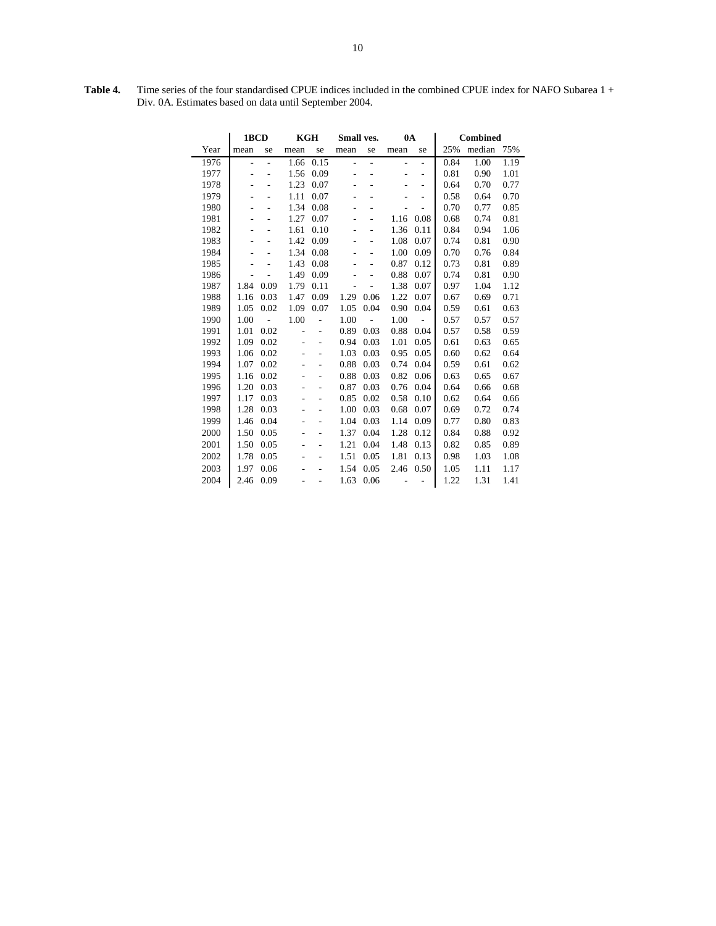**Table 4.** Time series of the four standardised CPUE indices included in the combined CPUE index for NAFO Subarea 1 + Div. 0A. Estimates based on data until September 2004.

|      | 1BCD                     |      | <b>KGH</b> |                | Small ves. |      | 0A                       |                   |      | <b>Combined</b> |      |
|------|--------------------------|------|------------|----------------|------------|------|--------------------------|-------------------|------|-----------------|------|
| Year | mean                     | se   | mean       | se             | mean       | se   | mean                     | se                | 25%  | median          | 75%  |
| 1976 | $\overline{\phantom{0}}$ | L,   | 1.66       | 0.15           | L.         | L.   |                          | $\sim$            | 0.84 | 1.00            | 1.19 |
| 1977 |                          |      | 1.56       | 0.09           |            |      |                          | $\overline{a}$    | 0.81 | 0.90            | 1.01 |
| 1978 |                          |      | 1.23       | 0.07           |            |      |                          | $\qquad \qquad -$ | 0.64 | 0.70            | 0.77 |
| 1979 |                          |      | 1.11       | 0.07           |            |      |                          |                   | 0.58 | 0.64            | 0.70 |
| 1980 |                          |      | 1.34       | 0.08           |            |      |                          |                   | 0.70 | 0.77            | 0.85 |
| 1981 |                          |      | 1.27       | 0.07           |            |      | 1.16                     | 0.08              | 0.68 | 0.74            | 0.81 |
| 1982 |                          |      | 1.61       | 0.10           |            |      | 1.36                     | 0.11              | 0.84 | 0.94            | 1.06 |
| 1983 |                          |      | 1.42       | 0.09           |            |      | 1.08                     | 0.07              | 0.74 | 0.81            | 0.90 |
| 1984 |                          |      | 1.34       | 0.08           |            |      | 1.00                     | 0.09              | 0.70 | 0.76            | 0.84 |
| 1985 |                          |      | 1.43       | 0.08           |            |      | 0.87                     | 0.12              | 0.73 | 0.81            | 0.89 |
| 1986 |                          |      | 1.49       | 0.09           |            |      | 0.88                     | 0.07              | 0.74 | 0.81            | 0.90 |
| 1987 | 1.84                     | 0.09 | 1.79       | 0.11           |            |      | 1.38                     | 0.07              | 0.97 | 1.04            | 1.12 |
| 1988 | 1.16                     | 0.03 | 1.47       | 0.09           | 1.29       | 0.06 | 1.22                     | 0.07              | 0.67 | 0.69            | 0.71 |
| 1989 | 1.05                     | 0.02 | 1.09       | 0.07           | 1.05       | 0.04 | 0.90                     | 0.04              | 0.59 | 0.61            | 0.63 |
| 1990 | 1.00                     |      | 1.00       |                | 1.00       |      | 1.00                     |                   | 0.57 | 0.57            | 0.57 |
| 1991 | 1.01                     | 0.02 |            | $\overline{a}$ | 0.89       | 0.03 | 0.88                     | 0.04              | 0.57 | 0.58            | 0.59 |
| 1992 | 1.09                     | 0.02 |            |                | 0.94       | 0.03 | 1.01                     | 0.05              | 0.61 | 0.63            | 0.65 |
| 1993 | 1.06                     | 0.02 |            |                | 1.03       | 0.03 | 0.95                     | 0.05              | 0.60 | 0.62            | 0.64 |
| 1994 | 1.07                     | 0.02 |            | $\overline{a}$ | 0.88       | 0.03 | 0.74                     | 0.04              | 0.59 | 0.61            | 0.62 |
| 1995 | 1.16                     | 0.02 |            | $\overline{a}$ | 0.88       | 0.03 | 0.82                     | 0.06              | 0.63 | 0.65            | 0.67 |
| 1996 | 1.20                     | 0.03 |            | $\overline{a}$ | 0.87       | 0.03 | 0.76                     | 0.04              | 0.64 | 0.66            | 0.68 |
| 1997 | 1.17                     | 0.03 |            |                | 0.85       | 0.02 | 0.58                     | 0.10              | 0.62 | 0.64            | 0.66 |
| 1998 | 1.28                     | 0.03 |            |                | 1.00       | 0.03 | 0.68                     | 0.07              | 0.69 | 0.72            | 0.74 |
| 1999 | 1.46                     | 0.04 |            | -              | 1.04       | 0.03 | 1.14                     | 0.09              | 0.77 | 0.80            | 0.83 |
| 2000 | 1.50                     | 0.05 |            |                | 1.37       | 0.04 | 1.28                     | 0.12              | 0.84 | 0.88            | 0.92 |
| 2001 | 1.50                     | 0.05 |            | $\overline{a}$ | 1.21       | 0.04 | 1.48                     | 0.13              | 0.82 | 0.85            | 0.89 |
| 2002 | 1.78                     | 0.05 |            |                | 1.51       | 0.05 | 1.81                     | 0.13              | 0.98 | 1.03            | 1.08 |
| 2003 | 1.97                     | 0.06 |            |                | 1.54       | 0.05 | 2.46                     | 0.50              | 1.05 | 1.11            | 1.17 |
| 2004 | 2.46                     | 0.09 |            |                | 1.63       | 0.06 | $\overline{\phantom{a}}$ | $\overline{a}$    | 1.22 | 1.31            | 1.41 |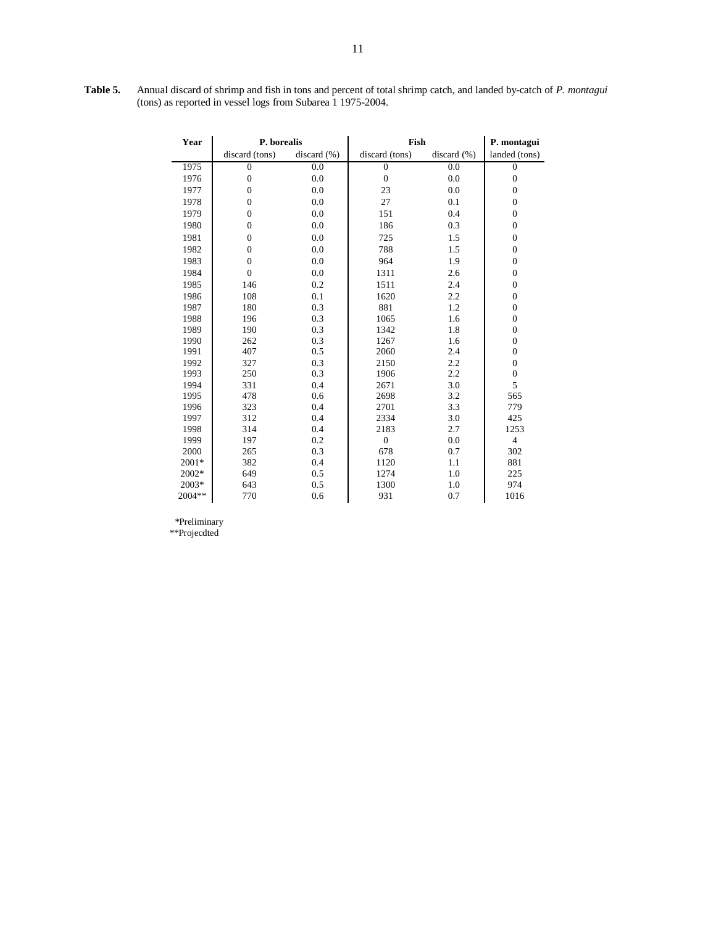| Table 5. | Annual discard of shrimp and fish in tons and percent of total shrimp catch, and landed by-catch of P. montagui |
|----------|-----------------------------------------------------------------------------------------------------------------|
|          | (tons) as reported in vessel logs from Subarea 1 1975-2004.                                                     |

| Year   | P. borealis      |                 | Fish           |                 | P. montagui      |  |
|--------|------------------|-----------------|----------------|-----------------|------------------|--|
|        | discard (tons)   | discard $(\% )$ | discard (tons) | discard $(\% )$ | landed (tons)    |  |
| 1975   | $\mathbf{0}$     | 0.0             | $\Omega$       | 0.0             | $\mathbf{0}$     |  |
| 1976   | $\boldsymbol{0}$ | 0.0             | $\overline{0}$ | 0.0             | $\mathbf{0}$     |  |
| 1977   | $\boldsymbol{0}$ | 0.0             | 23             | 0.0             | $\boldsymbol{0}$ |  |
| 1978   | $\boldsymbol{0}$ | 0.0             | 27             | 0.1             | $\mathbf{0}$     |  |
| 1979   | $\overline{0}$   | 0.0             | 151            | 0.4             | $\boldsymbol{0}$ |  |
| 1980   | $\boldsymbol{0}$ | 0.0             | 186            | 0.3             | $\boldsymbol{0}$ |  |
| 1981   | $\overline{0}$   | 0.0             | 725            | 1.5             | $\overline{0}$   |  |
| 1982   | $\boldsymbol{0}$ | 0.0             | 788            | 1.5             | $\boldsymbol{0}$ |  |
| 1983   | $\overline{0}$   | 0.0             | 964            | 1.9             | $\overline{0}$   |  |
| 1984   | $\mathbf{0}$     | 0.0             | 1311           | 2.6             | $\boldsymbol{0}$ |  |
| 1985   | 146              | 0.2             | 1511           | 2.4             | $\mathbf{0}$     |  |
| 1986   | 108              | 0.1             | 1620           | 2.2             | $\boldsymbol{0}$ |  |
| 1987   | 180              | 0.3             | 881            | 1.2             | $\boldsymbol{0}$ |  |
| 1988   | 196              | 0.3             | 1065           | 1.6             | $\boldsymbol{0}$ |  |
| 1989   | 190              | 0.3             | 1342           | 1.8             | $\overline{0}$   |  |
| 1990   | 262              | 0.3             | 1267           | 1.6             | $\boldsymbol{0}$ |  |
| 1991   | 407              | 0.5             | 2060           | 2.4             | $\boldsymbol{0}$ |  |
| 1992   | 327              | 0.3             | 2150           | 2.2             | $\boldsymbol{0}$ |  |
| 1993   | 250              | 0.3             | 1906           | 2.2             | $\overline{0}$   |  |
| 1994   | 331              | 0.4             | 2671           | 3.0             | 5                |  |
| 1995   | 478              | 0.6             | 2698           | 3.2             | 565              |  |
| 1996   | 323              | 0.4             | 2701           | 3.3             | 779              |  |
| 1997   | 312              | 0.4             | 2334           | 3.0             | 425              |  |
| 1998   | 314              | 0.4             | 2183           | 2.7             | 1253             |  |
| 1999   | 197              | 0.2             | $\overline{0}$ | 0.0             | $\overline{4}$   |  |
| 2000   | 265              | 0.3             | 678            | 0.7             | 302              |  |
| 2001*  | 382              | 0.4             | 1120           | 1.1             | 881              |  |
| 2002*  | 649              | 0.5             | 1274           | 1.0             | 225              |  |
| 2003*  | 643              | 0.5             | 1300           | 1.0             | 974              |  |
| 2004** | 770              | 0.6             | 931            | 0.7             | 1016             |  |

\*Preliminary

\*\*Projecdted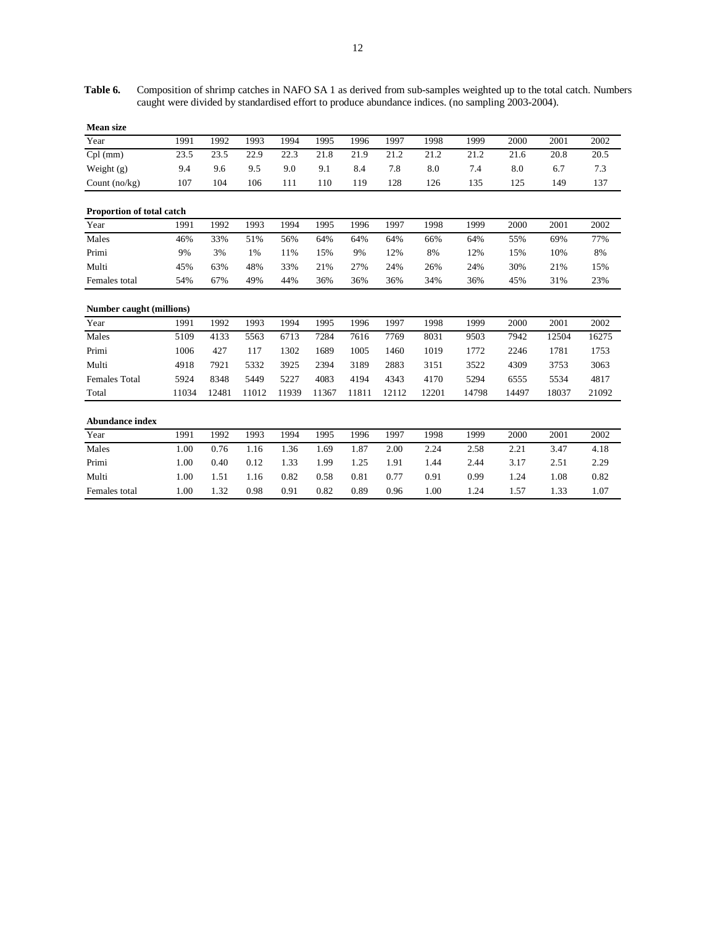**Table 6.** Composition of shrimp catches in NAFO SA 1 as derived from sub-samples weighted up to the total catch. Numbers caught were divided by standardised effort to produce abundance indices. (no sampling 2003-2004).

| <b>Mean size</b>                |       |       |       |       |       |       |       |       |       |       |       |       |
|---------------------------------|-------|-------|-------|-------|-------|-------|-------|-------|-------|-------|-------|-------|
| Year                            | 1991  | 1992  | 1993  | 1994  | 1995  | 1996  | 1997  | 1998  | 1999  | 2000  | 2001  | 2002  |
| $Cpl$ (mm)                      | 23.5  | 23.5  | 22.9  | 22.3  | 21.8  | 21.9  | 21.2  | 21.2  | 21.2  | 21.6  | 20.8  | 20.5  |
| Weight $(g)$                    | 9.4   | 9.6   | 9.5   | 9.0   | 9.1   | 8.4   | 7.8   | 8.0   | 7.4   | 8.0   | 6.7   | 7.3   |
| Count $(no/kg)$                 | 107   | 104   | 106   | 111   | 110   | 119   | 128   | 126   | 135   | 125   | 149   | 137   |
| Proportion of total catch       |       |       |       |       |       |       |       |       |       |       |       |       |
| Year                            | 1991  | 1992  | 1993  | 1994  | 1995  | 1996  | 1997  | 1998  | 1999  | 2000  | 2001  | 2002  |
| Males                           | 46%   | 33%   | 51%   | 56%   | 64%   | 64%   | 64%   | 66%   | 64%   | 55%   | 69%   | 77%   |
| Primi                           | 9%    | 3%    | 1%    | 11%   | 15%   | 9%    | 12%   | 8%    | 12%   | 15%   | 10%   | 8%    |
| Multi                           | 45%   | 63%   | 48%   | 33%   | 21%   | 27%   | 24%   | 26%   | 24%   | 30%   | 21%   | 15%   |
| Females total                   | 54%   | 67%   | 49%   | 44%   | 36%   | 36%   | 36%   | 34%   | 36%   | 45%   | 31%   | 23%   |
| <b>Number caught (millions)</b> |       |       |       |       |       |       |       |       |       |       |       |       |
| Year                            | 1991  | 1992  | 1993  | 1994  | 1995  | 1996  | 1997  | 1998  | 1999  | 2000  | 2001  | 2002  |
| Males                           | 5109  | 4133  | 5563  | 6713  | 7284  | 7616  | 7769  | 8031  | 9503  | 7942  | 12504 | 16275 |
| Primi                           | 1006  | 427   | 117   | 1302  | 1689  | 1005  | 1460  | 1019  | 1772  | 2246  | 1781  | 1753  |
| Multi                           | 4918  | 7921  | 5332  | 3925  | 2394  | 3189  | 2883  | 3151  | 3522  | 4309  | 3753  | 3063  |
| Females Total                   | 5924  | 8348  | 5449  | 5227  | 4083  | 4194  | 4343  | 4170  | 5294  | 6555  | 5534  | 4817  |
| Total                           | 11034 | 12481 | 11012 | 11939 | 11367 | 11811 | 12112 | 12201 | 14798 | 14497 | 18037 | 21092 |
| <b>Abundance index</b>          |       |       |       |       |       |       |       |       |       |       |       |       |
| Year                            | 1991  | 1992  | 1993  | 1994  | 1995  | 1996  | 1997  | 1998  | 1999  | 2000  | 2001  | 2002  |
| Males                           | 1.00  | 0.76  | 1.16  | 1.36  | 1.69  | 1.87  | 2.00  | 2.24  | 2.58  | 2.21  | 3.47  | 4.18  |
| Primi                           | 1.00  | 0.40  | 0.12  | 1.33  | 1.99  | 1.25  | 1.91  | 1.44  | 2.44  | 3.17  | 2.51  | 2.29  |
| Multi                           | 1.00  | 1.51  | 1.16  | 0.82  | 0.58  | 0.81  | 0.77  | 0.91  | 0.99  | 1.24  | 1.08  | 0.82  |
| Females total                   | 1.00  | 1.32  | 0.98  | 0.91  | 0.82  | 0.89  | 0.96  | 1.00  | 1.24  | 1.57  | 1.33  | 1.07  |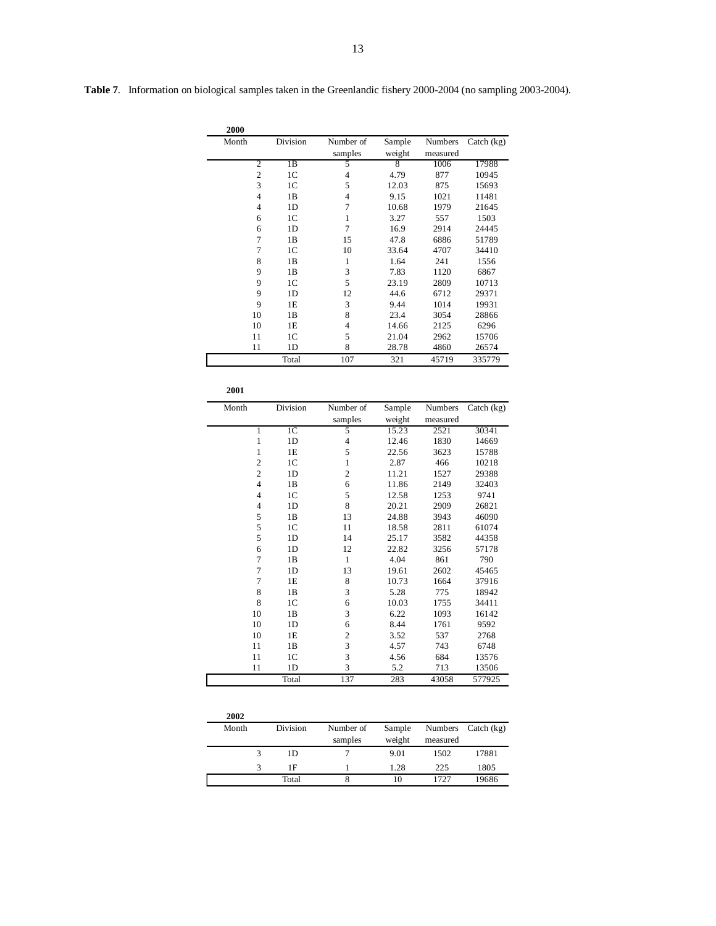|  |  | 13 |
|--|--|----|
|  |  |    |

**Table 7**. Information on biological samples taken in the Greenlandic fishery 2000-2004 (no sampling 2003-2004).

| 2000           |                |                |        |                |              |
|----------------|----------------|----------------|--------|----------------|--------------|
| Month          | Division       | Number of      | Sample | <b>Numbers</b> | Catch $(kg)$ |
|                |                | samples        | weight | measured       |              |
| 2              | 1B             | 5              | 8      | 1006           | 17988        |
| $\overline{c}$ | 1 <sup>C</sup> | $\overline{4}$ | 4.79   | 877            | 10945        |
| 3              | 1 <sup>C</sup> | 5              | 12.03  | 875            | 15693        |
| $\overline{4}$ | 1B             | 4              | 9.15   | 1021           | 11481        |
| $\overline{4}$ | 1D             | 7              | 10.68  | 1979           | 21645        |
| 6              | 1 <sup>C</sup> | 1              | 3.27   | 557            | 1503         |
| 6              | 1 <sub>D</sub> | 7              | 16.9   | 2914           | 24445        |
| $\overline{7}$ | 1B             | 15             | 47.8   | 6886           | 51789        |
| $\overline{7}$ | 1 <sup>C</sup> | 10             | 33.64  | 4707           | 34410        |
| 8              | 1B             | 1              | 1.64   | 241            | 1556         |
| 9              | 1B             | 3              | 7.83   | 1120           | 6867         |
| 9              | 1 <sup>C</sup> | 5              | 23.19  | 2809           | 10713        |
| 9              | 1 <sub>D</sub> | 12             | 44.6   | 6712           | 29371        |
| 9              | 1E             | 3              | 9.44   | 1014           | 19931        |
| 10             | 1B             | 8              | 23.4   | 3054           | 28866        |
| 10             | 1E             | 4              | 14.66  | 2125           | 6296         |
| 11             | 1 <sup>C</sup> | 5              | 21.04  | 2962           | 15706        |
| 11             | 1D             | 8              | 28.78  | 4860           | 26574        |
|                | Total          | 107            | 321    | 45719          | 335779       |

| 2001           |                |                |        |          |              |
|----------------|----------------|----------------|--------|----------|--------------|
| Month          | Division       | Number of      | Sample | Numbers  | Catch $(kg)$ |
|                |                | samples        | weight | measured |              |
| 1              | 1 <sup>C</sup> | 5              | 15.23  | 2521     | 30341        |
| 1              | 1D             | $\overline{4}$ | 12.46  | 1830     | 14669        |
| 1              | 1E             | 5              | 22.56  | 3623     | 15788        |
| $\overline{c}$ | 1 <sup>C</sup> | 1              | 2.87   | 466      | 10218        |
| $\overline{c}$ | 1D             | $\overline{2}$ | 11.21  | 1527     | 29388        |
| $\overline{4}$ | 1B             | 6              | 11.86  | 2149     | 32403        |
| $\overline{4}$ | 1 <sup>C</sup> | 5              | 12.58  | 1253     | 9741         |
| $\overline{4}$ | 1D             | 8              | 20.21  | 2909     | 26821        |
| 5              | 1B             | 13             | 24.88  | 3943     | 46090        |
| 5              | 1 <sup>C</sup> | 11             | 18.58  | 2811     | 61074        |
| 5              | 1D             | 14             | 25.17  | 3582     | 44358        |
| 6              | 1D             | 12             | 22.82  | 3256     | 57178        |
| $\overline{7}$ | 1B             | $\mathbf{1}$   | 4.04   | 861      | 790          |
| $\overline{7}$ | 1D             | 13             | 19.61  | 2602     | 45465        |
| $\overline{7}$ | 1E             | 8              | 10.73  | 1664     | 37916        |
| 8              | 1B             | 3              | 5.28   | 775      | 18942        |
| 8              | 1 <sup>C</sup> | 6              | 10.03  | 1755     | 34411        |
| 10             | 1B             | 3              | 6.22   | 1093     | 16142        |
| 10             | 1D             | 6              | 8.44   | 1761     | 9592         |
| 10             | 1E             | $\overline{c}$ | 3.52   | 537      | 2768         |
| 11             | 1B             | 3              | 4.57   | 743      | 6748         |
| 11             | 1 <sub>C</sub> | 3              | 4.56   | 684      | 13576        |
| 11             | 1D             | 3              | 5.2    | 713      | 13506        |
|                | Total          | 137            | 283    | 43058    | 577925       |

| 2002  |          |           |        |          |            |
|-------|----------|-----------|--------|----------|------------|
| Month | Division | Number of | Sample | Numbers  | Catch (kg) |
|       |          | samples   | weight | measured |            |
|       | 1D       |           | 9.01   | 1502     | 17881      |
|       | 1 F      |           | 1.28   | 225      | 1805       |
|       | Total    |           | 10     | 1727     | 19686      |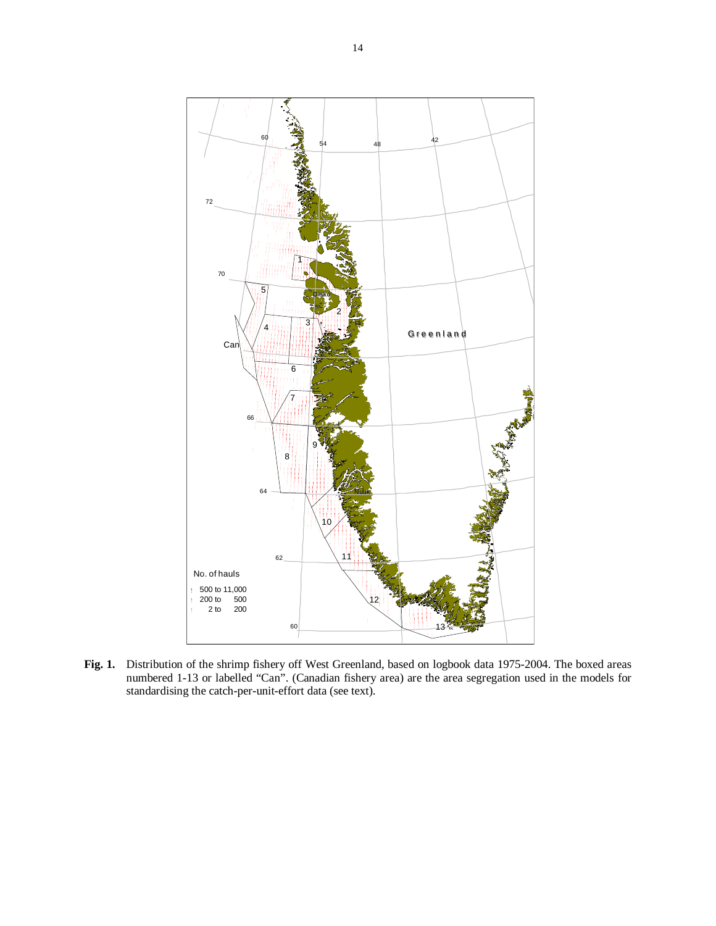

Fig. 1. Distribution of the shrimp fishery off West Greenland, based on logbook data 1975-2004. The boxed areas numbered 1-13 or labelled "Can". (Canadian fishery area) are the area segregation used in the models for standardising the catch-per-unit-effort data (see text).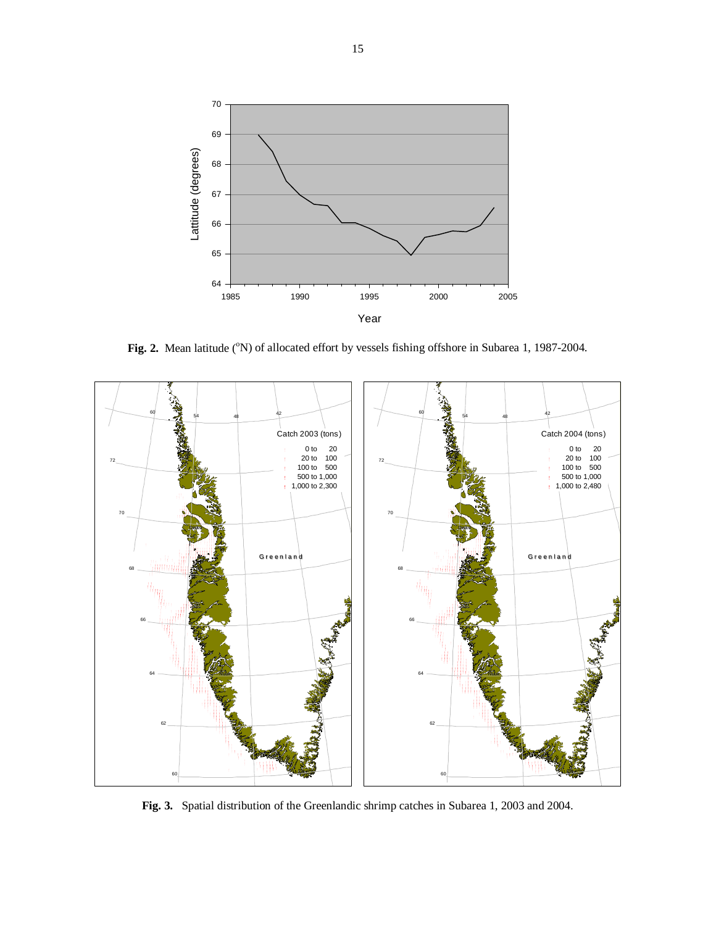

Fig. 2. Mean latitude (<sup>o</sup>N) of allocated effort by vessels fishing offshore in Subarea 1, 1987-2004.



**Fig. 3.** Spatial distribution of the Greenlandic shrimp catches in Subarea 1, 2003 and 2004.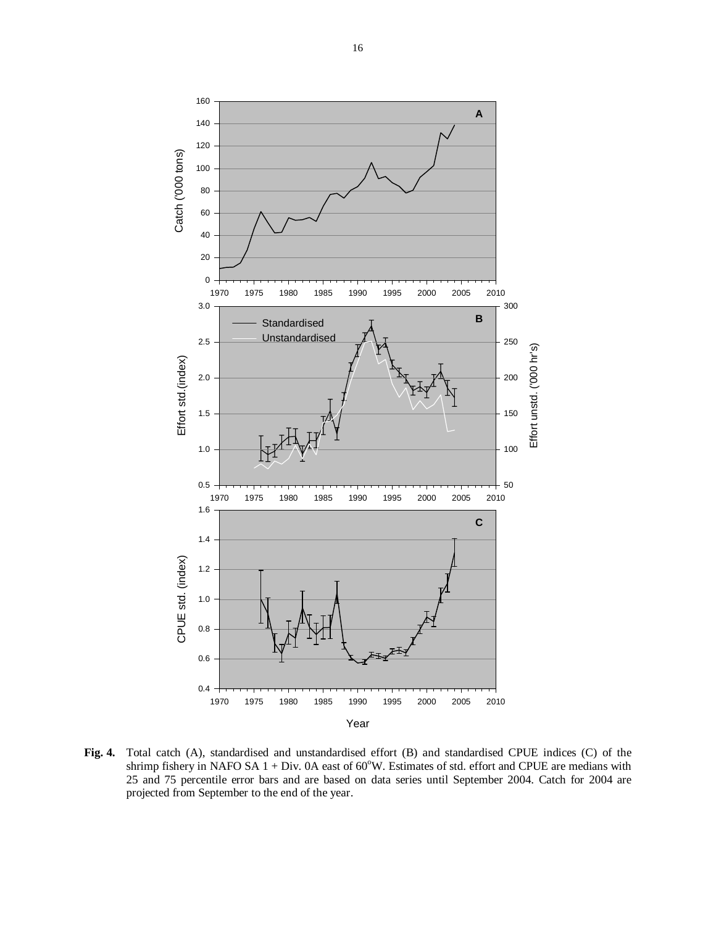

**Fig. 4.** Total catch (A), standardised and unstandardised effort (B) and standardised CPUE indices (C) of the shrimp fishery in NAFO SA  $1 + Div.$  0A east of  $60^{\circ}W$ . Estimates of std. effort and CPUE are medians with 25 and 75 percentile error bars and are based on data series until September 2004. Catch for 2004 are projected from September to the end of the year.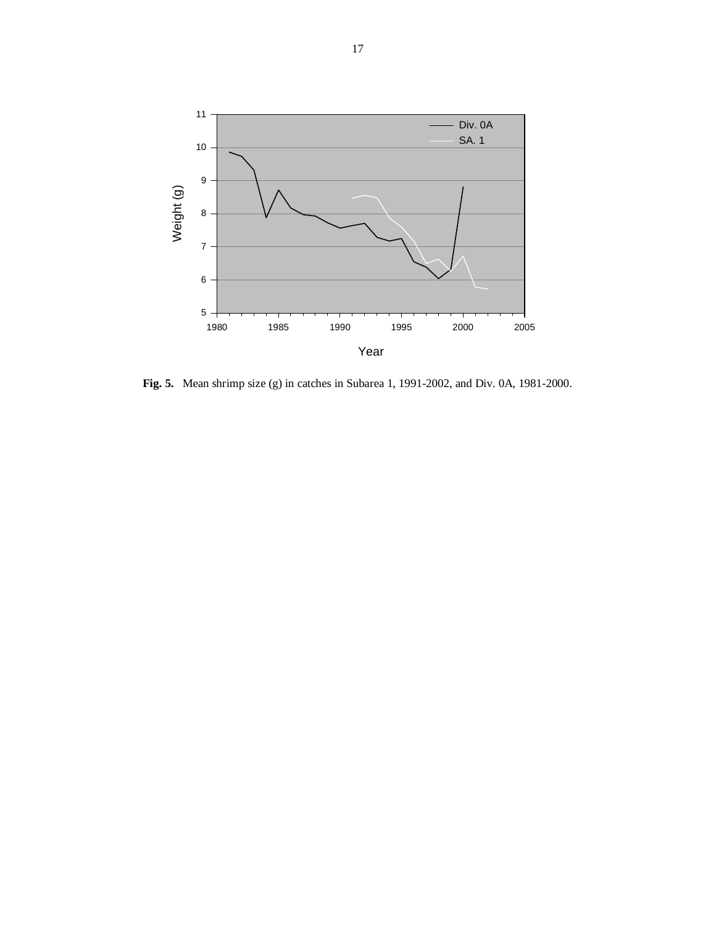

**Fig. 5.** Mean shrimp size (g) in catches in Subarea 1, 1991-2002, and Div. 0A, 1981-2000.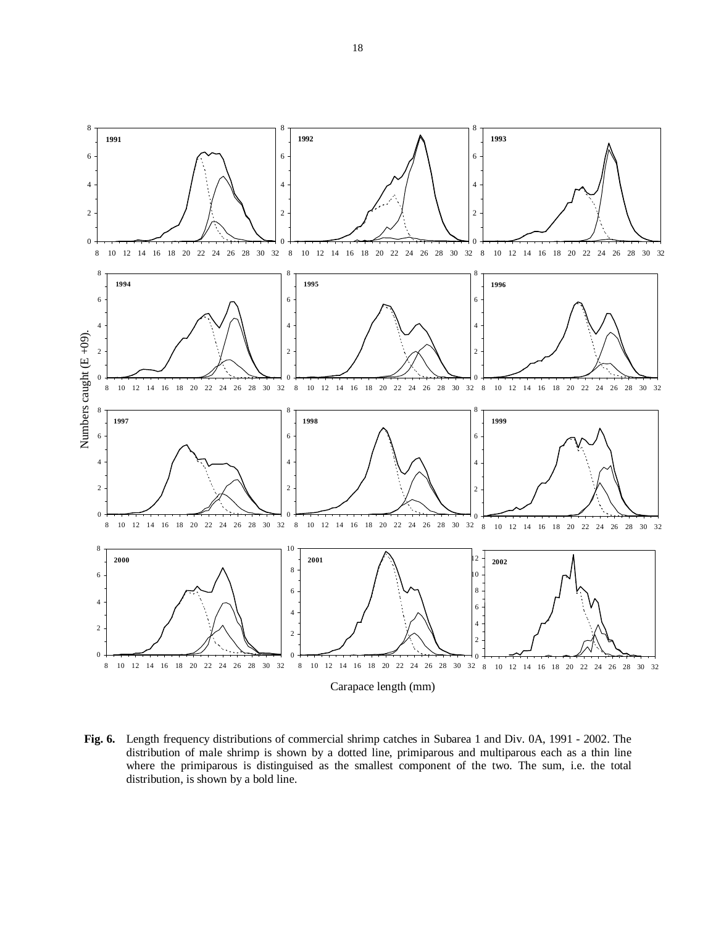

**Fig. 6.** Length frequency distributions of commercial shrimp catches in Subarea 1 and Div. 0A, 1991 - 2002. The distribution of male shrimp is shown by a dotted line, primiparous and multiparous each as a thin line where the primiparous is distinguised as the smallest component of the two. The sum, i.e. the total distribution, is shown by a bold line.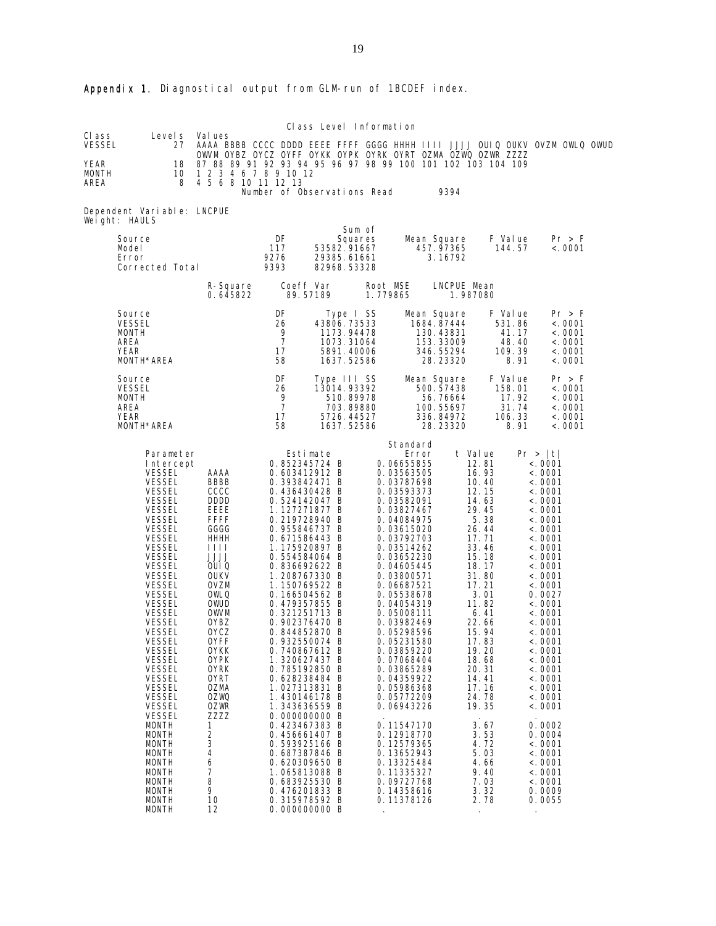|                                           |                                                                                                                                                                                                                                                                                                                                                                                                                                                                                                                                                                                                                                                            |                                                                                                                                                                                                                                                                                                                                                               |                                             | Class Level Information                                                                                                                                                                                                                                                                                                                                                                                                                                                                                                                                                                                                                                                        |                      |                                                                                                                                                                                                                                                                                                                                                                                                                                                                                                                                           |                                                                                                                                                                                                                                                                                                                                  |                                                       |                                                                                                                                                                                                                                                                                                                                                                                                                                                                                                                  |  |
|-------------------------------------------|------------------------------------------------------------------------------------------------------------------------------------------------------------------------------------------------------------------------------------------------------------------------------------------------------------------------------------------------------------------------------------------------------------------------------------------------------------------------------------------------------------------------------------------------------------------------------------------------------------------------------------------------------------|---------------------------------------------------------------------------------------------------------------------------------------------------------------------------------------------------------------------------------------------------------------------------------------------------------------------------------------------------------------|---------------------------------------------|--------------------------------------------------------------------------------------------------------------------------------------------------------------------------------------------------------------------------------------------------------------------------------------------------------------------------------------------------------------------------------------------------------------------------------------------------------------------------------------------------------------------------------------------------------------------------------------------------------------------------------------------------------------------------------|----------------------|-------------------------------------------------------------------------------------------------------------------------------------------------------------------------------------------------------------------------------------------------------------------------------------------------------------------------------------------------------------------------------------------------------------------------------------------------------------------------------------------------------------------------------------------|----------------------------------------------------------------------------------------------------------------------------------------------------------------------------------------------------------------------------------------------------------------------------------------------------------------------------------|-------------------------------------------------------|------------------------------------------------------------------------------------------------------------------------------------------------------------------------------------------------------------------------------------------------------------------------------------------------------------------------------------------------------------------------------------------------------------------------------------------------------------------------------------------------------------------|--|
| CI ass<br>VESSEL<br>YEAR<br>MONTH<br>AREA | Level s<br>27<br>18<br>10<br>8                                                                                                                                                                                                                                                                                                                                                                                                                                                                                                                                                                                                                             | Val ues<br>AAAA BBBB CCCC DDDD EEEE FFFF GGGG HHHH IIII JJJJ OUIQ OUKV OVZM OWLQ OWUD<br>OWVM OYBZ OYCZ OYFF OYKK OYPK OYRK OYRT OZMA OZWQ OZWR ZZZZ<br>87 88 89 91 92 93 94 95 96 97 98 99 100 101 102 103 104 109<br>1 2 3 4 6 7 8 9 10 12<br>4 5 6 8 10 11 12 13                                                                                           |                                             |                                                                                                                                                                                                                                                                                                                                                                                                                                                                                                                                                                                                                                                                                |                      |                                                                                                                                                                                                                                                                                                                                                                                                                                                                                                                                           |                                                                                                                                                                                                                                                                                                                                  |                                                       |                                                                                                                                                                                                                                                                                                                                                                                                                                                                                                                  |  |
|                                           | Dependent Variable: LNCPUE                                                                                                                                                                                                                                                                                                                                                                                                                                                                                                                                                                                                                                 |                                                                                                                                                                                                                                                                                                                                                               |                                             | Number of Observations Read                                                                                                                                                                                                                                                                                                                                                                                                                                                                                                                                                                                                                                                    |                      |                                                                                                                                                                                                                                                                                                                                                                                                                                                                                                                                           | 9394                                                                                                                                                                                                                                                                                                                             |                                                       |                                                                                                                                                                                                                                                                                                                                                                                                                                                                                                                  |  |
|                                           | Weight: HAULS<br>Source<br>Model<br>Error<br>Corrected Total                                                                                                                                                                                                                                                                                                                                                                                                                                                                                                                                                                                               |                                                                                                                                                                                                                                                                                                                                                               | DF<br>117<br>9276<br>9393                   | Sum of<br>Squares<br>53582.91667<br>29385.61661<br>82968.53328                                                                                                                                                                                                                                                                                                                                                                                                                                                                                                                                                                                                                 |                      | Mean Square<br>457.97365                                                                                                                                                                                                                                                                                                                                                                                                                                                                                                                  | 3.16792                                                                                                                                                                                                                                                                                                                          | F Value<br>144.57                                     | Pr > F<br>< .0001                                                                                                                                                                                                                                                                                                                                                                                                                                                                                                |  |
|                                           |                                                                                                                                                                                                                                                                                                                                                                                                                                                                                                                                                                                                                                                            | R-Square<br>0.645822                                                                                                                                                                                                                                                                                                                                          |                                             | Coeff Var<br>89.57189                                                                                                                                                                                                                                                                                                                                                                                                                                                                                                                                                                                                                                                          | Root MSE<br>1.779865 |                                                                                                                                                                                                                                                                                                                                                                                                                                                                                                                                           | LNCPUE Mean<br>1.987080                                                                                                                                                                                                                                                                                                          |                                                       |                                                                                                                                                                                                                                                                                                                                                                                                                                                                                                                  |  |
|                                           | Source<br><b>VESSEL</b><br><b>MONTH</b><br>AREA<br>YEAR<br>MONTH*AREA                                                                                                                                                                                                                                                                                                                                                                                                                                                                                                                                                                                      |                                                                                                                                                                                                                                                                                                                                                               | DF<br>26<br>9<br>$\overline{7}$<br>17<br>58 | Type I SS<br>43806.73533<br>1173.94478<br>1073.31064<br>5891.40006<br>1637.52586                                                                                                                                                                                                                                                                                                                                                                                                                                                                                                                                                                                               |                      | Mean Square<br>1684.87444<br>130.43831<br>153.33009<br>346.55294                                                                                                                                                                                                                                                                                                                                                                                                                                                                          | 28.23320                                                                                                                                                                                                                                                                                                                         | F Value<br>531.86<br>41.17<br>48.40<br>109.39<br>8.91 | Pr > F<br>< .0001<br>< .0001<br>< 0001<br>< .0001<br>< .0001                                                                                                                                                                                                                                                                                                                                                                                                                                                     |  |
|                                           | Source<br><b>VESSEL</b><br>MONTH<br>AREA<br>YEAR<br>MONTH*AREA                                                                                                                                                                                                                                                                                                                                                                                                                                                                                                                                                                                             |                                                                                                                                                                                                                                                                                                                                                               | DF<br>26<br>9<br>$\overline{7}$<br>17<br>58 | Type III SS<br>13014.93392<br>510.89978<br>703.89880<br>5726.44527<br>1637.52586                                                                                                                                                                                                                                                                                                                                                                                                                                                                                                                                                                                               |                      | Mean Square<br>500.57438                                                                                                                                                                                                                                                                                                                                                                                                                                                                                                                  | 56.76664<br>100.55697<br>336.84972<br>28.23320                                                                                                                                                                                                                                                                                   | F Value<br>158.01<br>17.92<br>31.74<br>106.33<br>8.91 | Pr > F<br>< .0001<br>< .0001<br>< .0001<br>< .0001<br>< 0001                                                                                                                                                                                                                                                                                                                                                                                                                                                     |  |
|                                           | Parameter<br>Intercept<br><b>VESSEL</b><br><b>VESSEL</b><br><b>VESSEL</b><br><b>VESSEL</b><br><b>VESSEL</b><br><b>VESSEL</b><br><b>VESSEL</b><br><b>VESSEL</b><br><b>VESSEL</b><br><b>VESSEL</b><br><b>VESSEL</b><br><b>VESSEL</b><br><b>VESSEL</b><br><b>VESSEL</b><br><b>VESSEL</b><br><b>VESSEL</b><br><b>VESSEL</b><br><b>VESSEL</b><br><b>VESSEL</b><br>VESSEL<br><b>VESSEL</b><br><b>VESSEL</b><br><b>VESSEL</b><br><b>VESSEL</b><br><b>VESSEL</b><br><b>VESSEL</b><br><b>VESSEL</b><br><b>MONTH</b><br><b>MONTH</b><br><b>MONTH</b><br><b>MONTH</b><br><b>MONTH</b><br><b>MONTH</b><br><b>MONTH</b><br><b>MONTH</b><br><b>MONTH</b><br><b>MONTH</b> | AAAA<br>BBBB<br>CCCC<br><b>DDDD</b><br>EEEE<br><b>FFFF</b><br>GGGG<br>HHHH<br>1111<br><b>JJJJ</b><br>OUI Q<br><b>OUKV</b><br><b>OVZM</b><br>OWLQ<br>OWUD<br><b>OWVM</b><br>0YBZ<br><b>OYCZ</b><br>0YFF<br><b>OYKK</b><br>0YPK<br><b>OYRK</b><br>0YRT<br><b>OZMA</b><br><b>OZWQ</b><br><b>OZWR</b><br>ZZZZ<br>1<br>2<br>3<br>4<br>6<br>7<br>8<br>9<br>10<br>12 |                                             | Estimate<br>0.852345724 B<br>0.603412912 B<br>0.393842471 B<br>0.436430428 B<br>0.524142047 B<br>1.127271877 B<br>0.219728940 B<br>0.955846737 B<br>0.671586443 B<br>1.175920897 B<br>0.554584064 B<br>0.836692622 B<br>1.208767330 B<br>1.150769522 B<br>0.166504562 B<br>0.479357855 B<br>0.321251713 B<br>0.902376470 B<br>0.844852870 B<br>0.932550074 B<br>0.740867612 B<br>1.320627437 B<br>0.785192850 B<br>0.628238484 B<br>1.027313831 B<br>1.430146178 B<br>1.343636559 B<br>0.000000000 B<br>0.423467383 B<br>0.456661407 B<br>0.593925166 B<br>0.687387846 B<br>0.620309650 B<br>1.065813088 B<br>0.683925530 B<br>0.476201833 B<br>0.315978592 B<br>0.000000000 B |                      | Standard<br>Error<br>0.06655855<br>0.03563505<br>0.03787698<br>0.03593373<br>0.03582091<br>0.03827467<br>0.04084975<br>0.03615020<br>0.03792703<br>0.03514262<br>0.03652230<br>0.04605445<br>0.03800571<br>0.06687521<br>0.05538678<br>0.04054319<br>0.05008111<br>0.03982469<br>0.05298596<br>0.05231580<br>0.03859220<br>0.07068404<br>0.03865289<br>0.04359922<br>0.05986368<br>0.05772209<br>0.06943226<br>0.11547170<br>0.12918770<br>0.12579365<br>0.13652943<br>0.13325484<br>0.11335327<br>0.09727768<br>0.14358616<br>0.11378126 | t Value<br>12.81<br>16.93<br>10.40<br>12.15<br>14.63<br>29.45<br>5.38<br>26.44<br>17.71<br>33.46<br>15.18<br>18.17<br>31.80<br>17.21<br>3.01<br>11.82<br>6.41<br>22.66<br>15.94<br>17.83<br>19. 20<br>18.68<br>20.31<br>14.41<br>17.16<br>24.78<br>19.35<br>3.67<br>3.53<br>4.72<br>5.03<br>4.66<br>9.40<br>7.03<br>3.32<br>2.78 |                                                       | Pr >  t <br>< .0001<br>< .0001<br>$\langle . \ 0001 \rangle$<br>< .0001<br>< .0001<br>$\langle . \ 0001 \rangle$<br>< .0001<br>< .0001<br>$\langle . \ 0001 \rangle$<br>< .0001<br>< .0001<br>$\langle . \ 0001 \rangle$<br>< .0001<br>< .0001<br>0.0027<br>< .0001<br>< .0001<br>$\langle . \ 0001 \rangle$<br>< .0001<br>< .0001<br><.0001<br>$<$ . 0001<br>< .0001<br>< .0001<br>< .0001<br>< .0001<br>< .0001<br>0.0002<br>0.0004<br>< .0001<br>< .0001<br>< .0001<br>< .0001<br>< .0001<br>0.0009<br>0.0055 |  |

# Appendix 1. Diagnostical output from GLM-run of 1BCDEF index.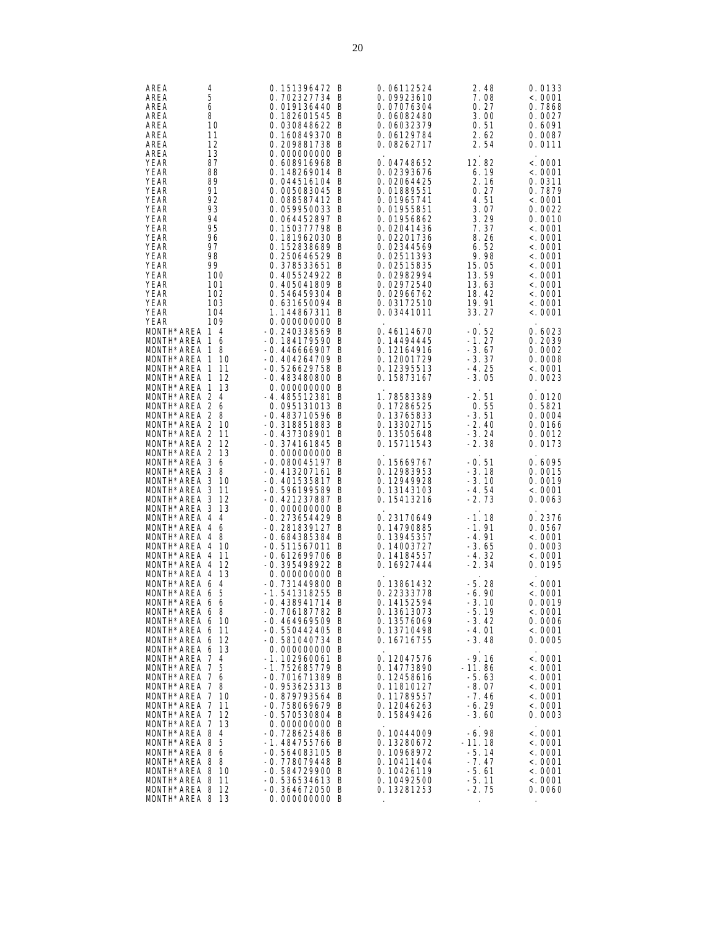| AREA<br>4<br>AREA<br>5<br>AREA<br>6<br>8<br>AREA<br>AREA<br>10<br>AREA<br>11<br>12<br>AREA<br>13<br>AREA                                                                                                         |                        | 0.151396472 B<br>0.702327734 B<br>0.019136440 B<br>0.182601545 B<br>0.030848622 B<br>0.160849370 B<br>0.209881738 B<br>0.000000000 B                                                                                                       | 0.06112524<br>0.09923610<br>0.07076304<br>0.06082480<br>0.06032379<br>0.06129784<br>0.08262717                                                                                                   |                                                                            | 2.48<br>7.08<br>0.27<br>3.00<br>0.51<br>2.62<br>2.54                         | 0.0133<br>< .0001<br>0.7868<br>0.0027<br>0.6091<br>0.0087<br>0.0111                                                                        |
|------------------------------------------------------------------------------------------------------------------------------------------------------------------------------------------------------------------|------------------------|--------------------------------------------------------------------------------------------------------------------------------------------------------------------------------------------------------------------------------------------|--------------------------------------------------------------------------------------------------------------------------------------------------------------------------------------------------|----------------------------------------------------------------------------|------------------------------------------------------------------------------|--------------------------------------------------------------------------------------------------------------------------------------------|
| YEAR<br>87<br>YEAR<br>88<br>YEAR<br>89<br>YEAR<br>91<br><b>YEAR</b><br>92<br>YEAR<br>93<br>YEAR<br>94<br><b>YEAR</b><br>95<br>YEAR<br>96<br>YEAR<br>97<br>YEAR<br>98<br>YEAR<br>99<br>YEAR<br>100<br>YEAR<br>101 |                        | 0.608916968 B<br>0.148269014 B<br>0.044516104 B<br>0.005083045 B<br>0.088587412 B<br>0.059950033 B<br>0.064452897 B<br>0.150377798 B<br>0.181962030 B<br>0.152838689 B<br>0.250646529 B<br>0.378533651 B<br>0.405524922 B<br>0.405041809 B | 0.04748652<br>0.02393676<br>0.02064425<br>0.01889551<br>0.01965741<br>0.01955851<br>0.01956862<br>0.02041436<br>0.02201736<br>0.02344569<br>0.02511393<br>0.02515835<br>0.02982994<br>0.02972540 | 12.82<br>15.05<br>13.59<br>13.63                                           | 6.19<br>2.16<br>0.27<br>4.51<br>3.07<br>3.29<br>7.37<br>8.26<br>6.52<br>9.98 | < 0001<br>< .0001<br>0.0311<br>0.7879<br>< .0001<br>0.0022<br>0.0010<br>< 0001<br>< 0001<br>< 0001<br>< 0001<br>< 0001<br>< 0001<br>< 0001 |
| YEAR<br>102<br>YEAR<br>103<br>YEAR<br>104<br>YEAR<br>109                                                                                                                                                         |                        | 0.546459304 B<br>0.631650094 B<br>1.144867311 B<br>0.000000000 B                                                                                                                                                                           | 0.02966762<br>0.03172510<br>0.03441011                                                                                                                                                           | 18.42<br>19.91<br>33.27                                                    |                                                                              | < 0001<br>< 0001<br>< 0001                                                                                                                 |
| MONTH*AREA 1 4<br>MONTH*AREA 1<br>MONTH*AREA 1<br>MONTH*AREA 1 10<br>MONTH*AREA 1<br>MONTH*AREA 1<br>MONTH*AREA 1 13                                                                                             | 6<br>8<br>11<br>12     | -0.240338569 B<br>-0.184179590 B<br>$-0.446666907$ B<br>$-0.404264709$ B<br>-0.526629758 B<br>-0.483480800 B<br>0.000000000 B                                                                                                              | 0.46114670<br>0.14494445<br>0.12164916<br>0.12001729<br>0.12395513<br>0.15873167                                                                                                                 | $-0.52$<br>-1.27<br>$-3.67$<br>$-3.37$<br>-4.25<br>$-3.05$                 |                                                                              | 0.6023<br>0.2039<br>0.0002<br>0.0008<br>< 0001<br>0.0023                                                                                   |
| MONTH*AREA 2 4<br>MONTH*AREA 2 6<br>MONTH*AREA 2 8<br>MONTH*AREA 2 10<br>MONTH*AREA 2 11<br>MONTH*AREA 2 12<br>MONTH*AREA 2                                                                                      | -13                    | -4.485512381 B<br>0.095131013 B<br>-0.483710596 B<br>-0.318851883 B<br>-0.437308901 B<br>-0.374161845 B<br>0.000000000 B                                                                                                                   | 1.78583389<br>0.17286525<br>0.13765833<br>0.13302715<br>0.13505648<br>0.15711543                                                                                                                 | $-2.51$<br>$-3.51$<br>-2.40<br>$-3.24$<br>$-2.38$                          | 0.55                                                                         | 0.0120<br>0.5821<br>0.0004<br>0.0166<br>0.0012<br>0.0173                                                                                   |
| MONTH*AREA 3 6<br>MONTH*AREA 3 8<br>MONTH*AREA 3 10<br>MONTH*AREA 3<br>MONTH*AREA 3<br>MONTH*AREA 3                                                                                                              | -11<br>-12<br>-13      | $-0.080045197$ B<br>-0.413207161 B<br>-0.401535817 B<br>-0.596199589 B<br>-0.421237887 B<br>0.000000000 B                                                                                                                                  | 0.15669767<br>0.12983953<br>0.12949928<br>0.13143103<br>0.15413216                                                                                                                               | $-0.51$<br>$-3.18$<br>$-3.10$<br>-4.54<br>$-2.73$                          |                                                                              | 0.6095<br>0.0015<br>0.0019<br>< 0001<br>0.0063                                                                                             |
| MONTH*AREA 4 4<br>MONTH*AREA 4 6<br>MONTH*AREA 4 8<br>MONTH*AREA 4<br>MONTH*AREA 4<br>MONTH*AREA 4<br>MONTH*AREA 4                                                                                               | 10<br>-11<br>-12<br>13 | -0.273654429 B<br>-0.281839127 B<br>$-0.684385384 B$<br>$-0.511567011$ B<br>$-0.612699706$ B<br>-0.395498922 B<br>0.000000000 B                                                                                                            | 0.23170649<br>0.14790885<br>0.13945357<br>0.14003727<br>0.14184557<br>0.16927444                                                                                                                 | -1.18<br>-1.91<br>-4.91<br>-3.65<br>$-4.32$<br>-2.34                       |                                                                              | 0.2376<br>0.0567<br>< 0001<br>0.0003<br>< 0001<br>0.0195                                                                                   |
| MONTH*AREA 6<br>MONTH*AREA 6 5<br>MONTH*AREA 6 6<br>MONTH*AREA 6 8<br>MONTH*AREA 6 10<br>MONTH*AREA 6 11<br>MONTH*AREA 6 12                                                                                      | $\overline{4}$         | -0.731449800 B<br>-1.541318255 B<br>$-0.438941714$ B<br>$-0.706187782$ B<br>-0.464969509 B<br>$-0.550442405$ B<br>-0.581040734 B                                                                                                           | 0.13861432<br>0.22333778<br>0.14152594<br>0.13613073<br>0.13576069<br>0.13710498<br>0.16716755                                                                                                   | $-5.28$<br>$-6.90$<br>$-3.10$<br>$-5.19$<br>$-3.42$<br>-4.01<br>$-3.48$    |                                                                              | < 0001<br>< 0001<br>0.0019<br>< .0001<br>0.0006<br>< .0001<br>0.0005                                                                       |
| MONTH*AREA 6 13<br>MONTH*AREA 7 4<br>MONTH*AREA 7 5<br>MONTH*AREA 7 6<br>MONTH*AREA 7 8<br>MONTH*AREA 7 10<br>MONTH*AREA 7 11<br>MONTH*AREA 7 12                                                                 |                        | 0.000000000 B<br>-1.102960061 B<br>-1.752685779 B<br>-0.701671389 B<br>-0.953625313 B<br>-0.879793564 B<br>-0.758069679 B<br>-0.570530804 B                                                                                                | 0.12047576<br>0.14773890<br>0.12458616<br>0.11810127<br>0.11789557<br>0.12046263<br>0.15849426                                                                                                   | $-9.16$<br>$-11.86$<br>$-5.63$<br>$-8.07$<br>$-7.46$<br>$-6.29$<br>$-3.60$ |                                                                              | < 0001<br>< 0001<br>< 0001<br>< .0001<br>< 0001<br>< .0001<br>0.0003                                                                       |
| MONTH*AREA 7 13<br>MONTH*AREA 8 4<br>MONTH*AREA 8 5<br>MONTH*AREA 8 6<br>MONTH*AREA 8 8<br>MONTH*AREA 8 10<br>MONTH*AREA 8 11<br>MONTH*AREA 8 12<br>MONTH*AREA 8 13                                              |                        | 0.000000000 B<br>-0.728625486 B<br>-1.484755766 B<br>$-0.564083105$ B<br>-0.778079448 B<br>-0.584729900 B<br>-0.536534613 B<br>-0.364672050 B<br>0.000000000 B                                                                             | 0.10444009<br>0.13280672<br>0.10968972<br>0.10411404<br>0.10426119<br>0.10492500<br>0.13281253                                                                                                   | -6.98<br>-11.18<br>-5.14<br>$-7.47$<br>$-5.61$<br>$-5.11$<br>$-2.75$       |                                                                              | < 0001<br>< 0001<br>< 0001<br>< 0001<br>< .0001<br>< 0001<br>0.0060                                                                        |
|                                                                                                                                                                                                                  |                        |                                                                                                                                                                                                                                            |                                                                                                                                                                                                  |                                                                            |                                                                              |                                                                                                                                            |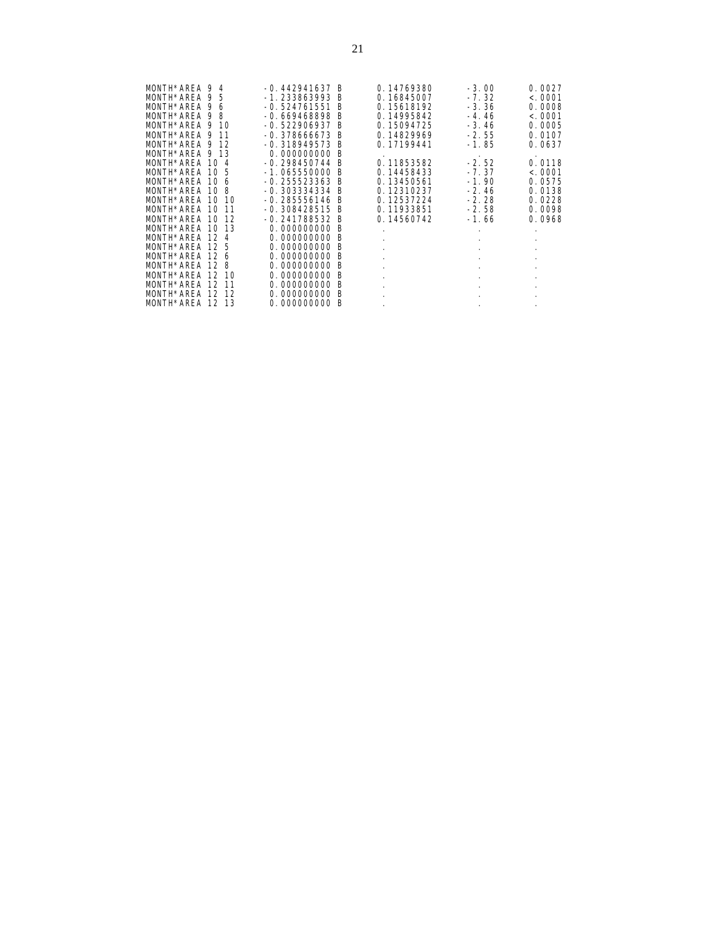| MONTH*AREA 9 4  |                        | -0.442941637<br>-B    | 0.14769380           | $-3.00$   | 0.0027    |
|-----------------|------------------------|-----------------------|----------------------|-----------|-----------|
| MONTH*AREA 9 5  |                        | -1.233863993 B        | 0.16845007           | $-7.32$   | < .0001   |
|                 |                        |                       |                      |           |           |
| MONTH*AREA      | 9<br>6                 | $-0.524761551$<br>B   | 0.15618192           | $-3.36$   | 0.0008    |
| MONTH*AREA 9    | 8                      | -0.669468898 B        | 0.14995842           | $-4.46$   | < .0001   |
| MONTH*AREA 9    | 10                     | $-0.522906937$<br>B   | 0.15094725           | $-3.46$   | 0.0005    |
| MONTH*AREA 9    | 11                     | $-0.378666673$<br>- B | 0.14829969           | $-2.55$   | 0.0107    |
| MONTH*AREA 9    | -12                    | -0.318949573 B        | 0.17199441           | $-1.85$   | 0.0637    |
| MONTH*AREA 9    | -13                    | 0.000000000 B         |                      |           |           |
| MONTH*AREA      | 10 <sub>4</sub>        | $-0.298450744 B$      | 0.11853582           | $-2.52$   | 0.0118    |
| MONTH*AREA      | 10 <sub>5</sub>        | -1.065550000<br>-B    | 0.14458433           | $-7.37$   | < .0001   |
| MONTH*AREA      | 10 <sub>6</sub>        | -0.255523363 B        | 0.13450561           | $-1.90$   | 0.0575    |
|                 |                        |                       |                      |           |           |
| MONTH*AREA      | 10 <sub>8</sub>        | -0.303334334 B        | 0.12310237           | $-2.46$   | 0.0138    |
| MONTH*AREA 10   | -10                    | -0.285556146 B        | 0.12537224           | $-2.28$   | 0.0228    |
| MONTH*AREA      | 10<br>11               | -0.308428515<br>- B   | 0.11933851           | $-2.58$   | 0.0098    |
| MONTH*AREA 10   | 12                     | $-0.241788532 B$      | 0.14560742           | $-1.66$   | 0.0968    |
| MONTH*AREA 10   | 13                     | 0.000000000 B         | $\ddot{\phantom{0}}$ |           |           |
| MONTH*AREA 12 4 |                        | 0.000000000 B         | $\cdot$              |           | $\bullet$ |
| MONTH*ARFA      | 12 <sub>5</sub>        | 0.000000000 B         | $\cdot$              |           |           |
| MONTH*AREA      | 126                    | 0.000000000 B         | $\cdot$              | $\bullet$ | $\bullet$ |
| MONTH*AREA      | 128                    | 0.000000000 B         | $\blacksquare$       |           | $\bullet$ |
| MONTH*AREA      | 12 <sub>1</sub><br>-10 | 0.000000000<br>B      | $\blacksquare$       |           |           |
| MONTH*AREA      | 12 <sup>1</sup><br>-11 | 0.000000000<br>-B     |                      |           |           |
| MONTH*AREA      | 12<br>12               | 0.000000000<br>B      |                      |           |           |
| MONTH*AREA      | 13<br>12               | 0.000000000<br>B      |                      |           |           |
|                 |                        |                       | $\cdot$              | $\bullet$ |           |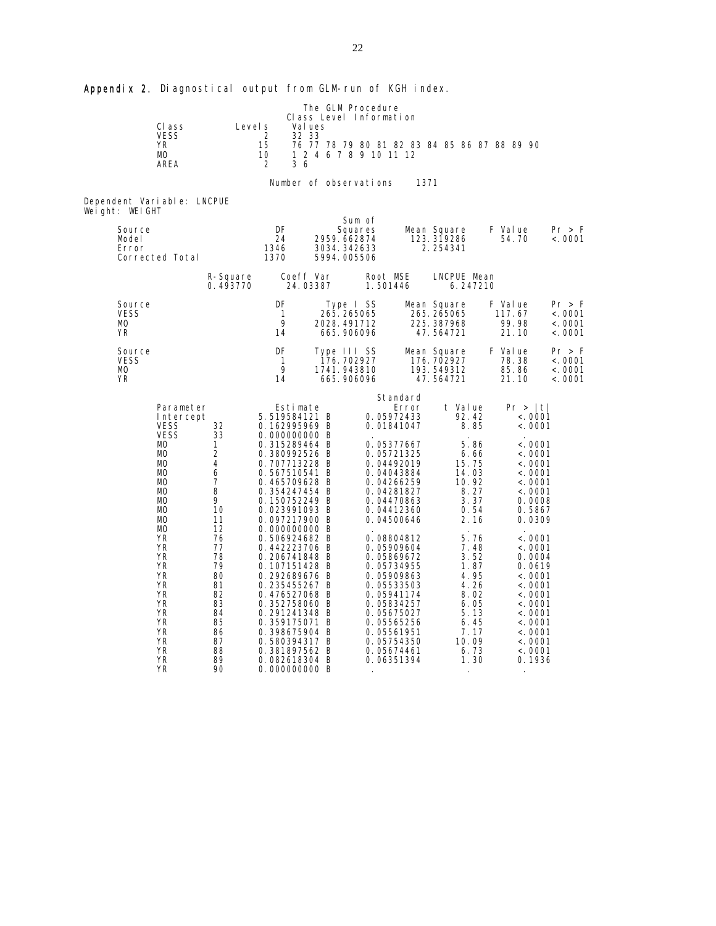Appendix 2. Diagnostical output from GLM-run of KGH index.

|                          |                            |                      |              |                                | The GLM Procedure          |                          |          |                                              |              |                   |                    |
|--------------------------|----------------------------|----------------------|--------------|--------------------------------|----------------------------|--------------------------|----------|----------------------------------------------|--------------|-------------------|--------------------|
|                          | CI ass                     | Level s              |              | Val ues                        | Class Level Information    |                          |          |                                              |              |                   |                    |
|                          | <b>VESS</b>                |                      | 2            | 32 33                          |                            |                          |          |                                              |              |                   |                    |
|                          | <b>YR</b><br>MО            |                      | 15<br>10     |                                | 1 2 4 6 7 8 9 10 11 12     |                          |          | 76 77 78 79 80 81 82 83 84 85 86 87 88 89 90 |              |                   |                    |
|                          | AREA                       |                      | 2            | 36                             |                            |                          |          |                                              |              |                   |                    |
|                          |                            |                      |              |                                | Number of observations     |                          | 1371     |                                              |              |                   |                    |
|                          |                            |                      |              |                                |                            |                          |          |                                              |              |                   |                    |
| Weight: WEIGHT           | Dependent Variable: LNCPUE |                      |              |                                |                            |                          |          |                                              |              |                   |                    |
| Source                   |                            |                      | DF           |                                | Sum of                     |                          |          |                                              |              | F Value           | Pr > F             |
| Model                    |                            |                      | 24           |                                | Squares<br>2959.662874     |                          |          | Mean Square<br>123.319286                    |              | 54.70             | < .0001            |
| Error                    | Corrected Total            |                      | 1346<br>1370 |                                | 3034.342633<br>5994.005506 |                          |          | 2.254341                                     |              |                   |                    |
|                          |                            |                      |              |                                |                            |                          |          |                                              |              |                   |                    |
|                          |                            | R-Square<br>0.493770 |              | Coeff Var<br>24.03387          |                            | Root MSE<br>1.501446     |          | LNCPUE Mean                                  | 6.247210     |                   |                    |
|                          |                            |                      |              |                                |                            |                          |          |                                              |              |                   |                    |
| Source<br><b>VESS</b>    |                            |                      | DF<br>1      |                                | Type I SS<br>265.265065    |                          |          | Mean Square<br>265.265065                    |              | F Value<br>117.67 | Pr > F<br>< 0001   |
| MО                       |                            |                      | 9            |                                | 2028.491712                |                          |          | 225.387968                                   |              | 99.98             | < 0001             |
| ΥR                       |                            |                      | 14           |                                | 665.906096                 |                          |          | 47.564721                                    |              | 21.10             | < .0001            |
| Source                   |                            |                      | DF           |                                | Type III SS                |                          |          | Mean Square                                  |              | F Value           | Pr > F             |
| <b>VESS</b><br><b>MO</b> |                            |                      | 1<br>9       |                                | 176. 702927<br>1741.943810 |                          |          | 176.702927<br>193.549312                     |              | 78.38<br>85.86    | < .0001<br>< .0001 |
| YR                       |                            |                      | 14           |                                | 665.906096                 |                          |          | 47.564721                                    |              | 21.10             | < .0001            |
|                          |                            |                      |              |                                |                            |                          | Standard |                                              |              |                   |                    |
|                          | Parameter                  |                      |              | Estimate                       |                            |                          | Error    | t Value                                      |              | Pr >  t           |                    |
|                          | Intercept<br><b>VESS</b>   | 32                   |              | 5.519584121 B<br>0.162995969 B |                            | 0.05972433<br>0.01841047 |          | 92.42                                        | 8.85         | <. 0001<br>< 0001 |                    |
|                          | <b>VESS</b>                | 33                   |              | 0.000000000 B                  |                            |                          |          |                                              |              |                   |                    |
|                          | МO<br><b>MO</b>            | 1<br>2               |              | 0.315289464 B<br>0.380992526 B |                            | 0.05377667<br>0.05721325 |          |                                              | 5.86<br>6.66 | < 0001<br>< 0001  |                    |
|                          | <b>MO</b>                  | 4                    |              | 0.707713228 B                  |                            | 0.04492019               |          | 15.75                                        |              | <.0001            |                    |
|                          | <b>MO</b><br><b>MO</b>     | 6<br>7               |              | 0.567510541 B<br>0.465709628 B |                            | 0.04043884<br>0.04266259 |          | 14.03<br>10.92                               |              | < 0001<br><.0001  |                    |
|                          | <b>MO</b>                  | 8                    |              | 0.354247454 B                  |                            | 0.04281827               |          |                                              | 8.27         | <.0001            |                    |
|                          | MО<br><b>MO</b>            | 9<br>10              |              | 0.150752249 B<br>0.023991093 B |                            | 0.04470863<br>0.04412360 |          |                                              | 3.37<br>0.54 | 0.0008<br>0.5867  |                    |
|                          | <b>MO</b>                  | 11                   |              | 0.097217900 B                  |                            | 0.04500646               |          |                                              | 2.16         | 0.0309            |                    |
|                          | <b>MO</b><br>YR            | 12<br>76             |              | 0.000000000 B<br>0.506924682 B |                            | 0.08804812               |          |                                              | 5.76         | < 0001            |                    |
|                          | YR                         | 77                   |              | 0.442223706 B                  |                            | 0.05909604               |          |                                              | 7.48         | < 0001            |                    |
|                          | YR<br>ΥR                   | 78<br>79             |              | 0.206741848 B<br>0.107151428 B |                            | 0.05869672<br>0.05734955 |          |                                              | 3.52<br>1.87 | 0.0004<br>0.0619  |                    |
|                          | YR                         | 80                   |              | 0.292689676 B                  |                            | 0.05909863               |          |                                              | 4.95         | < 0001            |                    |
|                          | YR<br>YR                   | 81<br>82             |              | 0.235455267 B<br>0.476527068 B |                            | 0.05533503<br>0.05941174 |          |                                              | 4.26<br>8.02 | < 0001<br><.0001  |                    |
|                          | YR                         | 83                   |              | 0.352758060 B                  |                            | 0.05834257               |          |                                              | 6.05         | < 0001            |                    |
|                          | <b>YR</b><br><b>YR</b>     | 84<br>85             |              | 0.291241348 B<br>0.359175071 B |                            | 0.05675027<br>0.05565256 |          |                                              | 5.13<br>6.45 | < 0001<br>< 0001  |                    |
|                          | YR                         | 86                   |              | 0.398675904 B                  |                            | 0.05561951               |          |                                              | 7.17         | < 0001            |                    |
|                          | ΥR                         | 87                   |              | 0.580394317 B                  |                            | 0.05754350               |          | 10.09                                        |              | < 0001            |                    |
|                          | ΥR<br>YR                   | 88<br>89             |              | 0.381897562 B<br>0.082618304 B |                            | 0.05674461<br>0.06351394 |          |                                              | 6.73<br>1.30 | < .0001<br>0.1936 |                    |
|                          | ΥR                         | 90                   |              | 0.000000000 B                  |                            |                          |          |                                              |              |                   |                    |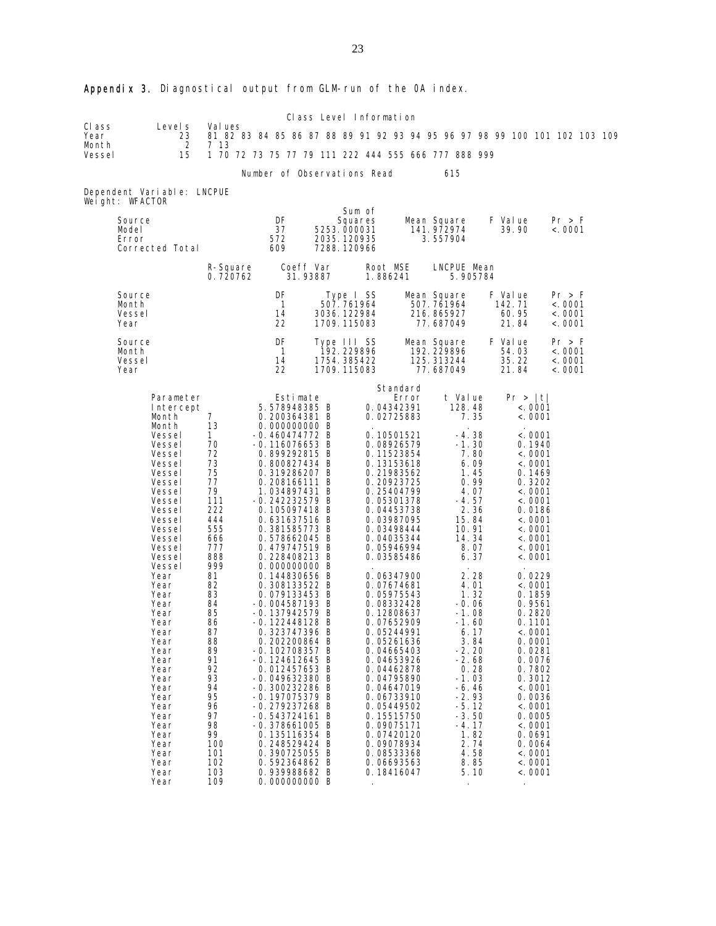|                                   |                                                                                                                                                                                                                                                                                                                                                                                |                                                                                                                                                                                                                                                                          |                                                                                                                                                                                                                                                                                                                                                                                                                                                                                                                                                                                                                                                                                                                                                          |          |                                                                | Class Level Information                                                                                                                                                                                                                                                                                                                                                                                                                                                                                                                                               |                                                      |                                                                                                                                                                                                                                                                                                                                               |                   |                         |                                                                                                                                                                                                                                                                                                                                                                                                      |                                         |  |
|-----------------------------------|--------------------------------------------------------------------------------------------------------------------------------------------------------------------------------------------------------------------------------------------------------------------------------------------------------------------------------------------------------------------------------|--------------------------------------------------------------------------------------------------------------------------------------------------------------------------------------------------------------------------------------------------------------------------|----------------------------------------------------------------------------------------------------------------------------------------------------------------------------------------------------------------------------------------------------------------------------------------------------------------------------------------------------------------------------------------------------------------------------------------------------------------------------------------------------------------------------------------------------------------------------------------------------------------------------------------------------------------------------------------------------------------------------------------------------------|----------|----------------------------------------------------------------|-----------------------------------------------------------------------------------------------------------------------------------------------------------------------------------------------------------------------------------------------------------------------------------------------------------------------------------------------------------------------------------------------------------------------------------------------------------------------------------------------------------------------------------------------------------------------|------------------------------------------------------|-----------------------------------------------------------------------------------------------------------------------------------------------------------------------------------------------------------------------------------------------------------------------------------------------------------------------------------------------|-------------------|-------------------------|------------------------------------------------------------------------------------------------------------------------------------------------------------------------------------------------------------------------------------------------------------------------------------------------------------------------------------------------------------------------------------------------------|-----------------------------------------|--|
| CI ass<br>Year<br>Month           | Level s<br>23<br>2                                                                                                                                                                                                                                                                                                                                                             | Val ues<br>7 13                                                                                                                                                                                                                                                          |                                                                                                                                                                                                                                                                                                                                                                                                                                                                                                                                                                                                                                                                                                                                                          |          |                                                                | 81 82 83 84 85 86 87 88 89 91 92 93 94 95 96 97 98 99 100 101 102 103 109                                                                                                                                                                                                                                                                                                                                                                                                                                                                                             |                                                      |                                                                                                                                                                                                                                                                                                                                               |                   |                         |                                                                                                                                                                                                                                                                                                                                                                                                      |                                         |  |
| Vessel                            | 15                                                                                                                                                                                                                                                                                                                                                                             |                                                                                                                                                                                                                                                                          |                                                                                                                                                                                                                                                                                                                                                                                                                                                                                                                                                                                                                                                                                                                                                          |          |                                                                | 1 70 72 73 75 77 79 111 222 444 555 666 777 888 999                                                                                                                                                                                                                                                                                                                                                                                                                                                                                                                   |                                                      |                                                                                                                                                                                                                                                                                                                                               |                   |                         |                                                                                                                                                                                                                                                                                                                                                                                                      |                                         |  |
|                                   |                                                                                                                                                                                                                                                                                                                                                                                |                                                                                                                                                                                                                                                                          | Number of Observations Read                                                                                                                                                                                                                                                                                                                                                                                                                                                                                                                                                                                                                                                                                                                              |          |                                                                |                                                                                                                                                                                                                                                                                                                                                                                                                                                                                                                                                                       | 615                                                  |                                                                                                                                                                                                                                                                                                                                               |                   |                         |                                                                                                                                                                                                                                                                                                                                                                                                      |                                         |  |
| Weight: WFACTOR                   | Dependent Variable: LNCPUE                                                                                                                                                                                                                                                                                                                                                     |                                                                                                                                                                                                                                                                          |                                                                                                                                                                                                                                                                                                                                                                                                                                                                                                                                                                                                                                                                                                                                                          |          |                                                                |                                                                                                                                                                                                                                                                                                                                                                                                                                                                                                                                                                       |                                                      |                                                                                                                                                                                                                                                                                                                                               |                   |                         |                                                                                                                                                                                                                                                                                                                                                                                                      |                                         |  |
| Source<br>Model<br>Error          | Corrected Total                                                                                                                                                                                                                                                                                                                                                                |                                                                                                                                                                                                                                                                          | DF<br>37<br>572<br>609                                                                                                                                                                                                                                                                                                                                                                                                                                                                                                                                                                                                                                                                                                                                   |          | Sum of<br>Squares<br>5253.000031<br>2035.120935<br>7288.120966 |                                                                                                                                                                                                                                                                                                                                                                                                                                                                                                                                                                       | Mean Square<br>141.972974<br>3.557904                |                                                                                                                                                                                                                                                                                                                                               | F Value           | 39.90                   |                                                                                                                                                                                                                                                                                                                                                                                                      | Pr > F<br>< .0001                       |  |
|                                   |                                                                                                                                                                                                                                                                                                                                                                                | R-Square<br>0.720762                                                                                                                                                                                                                                                     | Coeff Var                                                                                                                                                                                                                                                                                                                                                                                                                                                                                                                                                                                                                                                                                                                                                | 31.93887 |                                                                | Root MSE<br>1.886241                                                                                                                                                                                                                                                                                                                                                                                                                                                                                                                                                  | LNCPUE Mean                                          | 5.905784                                                                                                                                                                                                                                                                                                                                      |                   |                         |                                                                                                                                                                                                                                                                                                                                                                                                      |                                         |  |
| Source<br>Month<br>Vessel<br>Year |                                                                                                                                                                                                                                                                                                                                                                                |                                                                                                                                                                                                                                                                          | DF<br>$\mathbf{1}$<br>14<br>22                                                                                                                                                                                                                                                                                                                                                                                                                                                                                                                                                                                                                                                                                                                           |          | Type I SS<br>507.761964<br>3036.122984<br>1709.115083          |                                                                                                                                                                                                                                                                                                                                                                                                                                                                                                                                                                       | Mean Square<br>507.761964<br>216.865927<br>77.687049 |                                                                                                                                                                                                                                                                                                                                               | F Value<br>142.71 | 60.95<br>21.84          |                                                                                                                                                                                                                                                                                                                                                                                                      | Pr > F<br>< .0001<br>< .0001<br>< .0001 |  |
| Source<br>Month<br>Vessel<br>Year |                                                                                                                                                                                                                                                                                                                                                                                |                                                                                                                                                                                                                                                                          | DF<br>$\mathbf{1}$<br>14<br>22                                                                                                                                                                                                                                                                                                                                                                                                                                                                                                                                                                                                                                                                                                                           |          | Type III SS<br>192.229896<br>1754.385422<br>1709.115083        |                                                                                                                                                                                                                                                                                                                                                                                                                                                                                                                                                                       | Mean Square<br>192.229896<br>125.313244<br>77.687049 |                                                                                                                                                                                                                                                                                                                                               | F Value           | 54.03<br>35.22<br>21.84 |                                                                                                                                                                                                                                                                                                                                                                                                      | Pr > F<br>< .0001<br>< .0001<br>< .0001 |  |
|                                   | Parameter<br>Intercept<br>Month<br>Month<br>Vessel<br>Vessel<br>Vessel<br>Vessel<br>Vessel<br>Vessel<br>Vessel<br>Vessel<br>Vessel<br>Vessel<br>Vessel<br>Vessel<br>Vessel<br>Vessel<br>Vessel<br>Year<br>Year<br>Year<br>Year<br>Year<br>Year<br>Year<br>Year<br>Year<br>Year<br>Year<br>Year<br>Year<br>Year<br>Year<br>Year<br>Year<br>Year<br>Year<br>Year<br>Year<br>Year | $\overline{7}$<br>13<br>$\mathbf{1}$<br>70<br>72<br>73<br>75<br>77<br>79<br>111<br>222<br>444<br>555<br>666<br>777<br>888<br>999<br>81<br>82<br>83<br>84<br>85<br>86<br>87<br>88<br>89<br>91<br>92<br>93<br>94<br>95<br>96<br>97<br>98<br>99<br>100<br>101<br>102<br>103 | Estimate<br>5.578948385 B<br>0.200364381 B<br>0.000000000 B<br>$-0.460474772 B$<br>$-0.116076653$ B<br>0.899292815 B<br>0.800827434 B<br>0.319286207 B<br>0.208166111 B<br>1.034897431 B<br>$-0.242232579$ B<br>0.105097418 B<br>0.631637516 B<br>0.381585773 B<br>0.578662045 B<br>0.479747519 B<br>0.228408213 B<br>0.000000000 B<br>0.144830656 B<br>0.308133522 B<br>0.079133453 B<br>$-0.004587193 B$<br>$-0.137942579$ B<br>-0.122448128 B<br>0.323747396 B<br>0.202200864 B<br>$-0.102708357$ B<br>$-0.124612645 B$<br>0.012457653 B<br>$-0.049632380$ B<br>$-0.300232286$ B<br>$-0.197075379$ B<br>$-0.279237268$ B<br>$-0.543724161$ B<br>$-0.378661005$ B<br>0.135116354 B<br>0.248529424 B<br>0.390725055 B<br>0.592364862 B<br>0.939988682 B |          |                                                                | Standard<br>Error<br>0.04342391<br>0.02725883<br>0.10501521<br>0.08926579<br>0.11523854<br>0.13153618<br>0.21983562<br>0.20923725<br>0.25404799<br>0.05301378<br>0.04453738<br>0.03987095<br>0.03498444<br>0.04035344<br>0.05946994<br>0.03585486<br>0.06347900<br>0.07674681<br>0.05975543<br>0.08332428<br>0.12808637<br>0.07652909<br>0.05244991<br>0.05261636<br>0.04665403<br>0.04653926<br>0.04462878<br>0.04795890<br>0.04647019<br>0.06733910<br>0.05449502<br>0.15515750<br>0.09075171<br>0.07420120<br>0.09078934<br>0.08533368<br>0.06693563<br>0.18416047 | t Value                                              | 128.48<br>7.35<br>-4.38<br>-1.30<br>7.80<br>6.09<br>1.45<br>0.99<br>4.07<br>$-4.57$<br>2.36<br>15.84<br>10.91<br>14.34<br>8.07<br>6.37<br>2.28<br>4.01<br>1.32<br>$-0.06$<br>$-1.08$<br>$-1.60$<br>6.17<br>3.84<br>-2.20<br>$-2.68$<br>0.28<br>-1.03<br>-6.46<br>$-2.93$<br>-5.12<br>$-3.50$<br>-4.17<br>1.82<br>2.74<br>4.58<br>8.85<br>5.10 |                   | Pr >  t                 | < .0001<br>< 0001<br>< 0001<br>0.1940<br>< 0001<br>< .0001<br>0.1469<br>0.3202<br>< .0001<br>< .0001<br>0.0186<br>< .0001<br>< .0001<br>< 0001<br>< 0001<br>< 0001<br>0.0229<br>< .0001<br>0.1859<br>0.9561<br>0.2820<br>0.1101<br>< .0001<br>0.0001<br>0.0281<br>0.0076<br>0.7802<br>0.3012<br>< 0001<br>0.0036<br>< .0001<br>0.0005<br>< .0001<br>0.0691<br>0.0064<br>< 0001<br>< .0001<br>< .0001 |                                         |  |

# Appendix 3. Diagnostical output from GLM-run of the OA index.